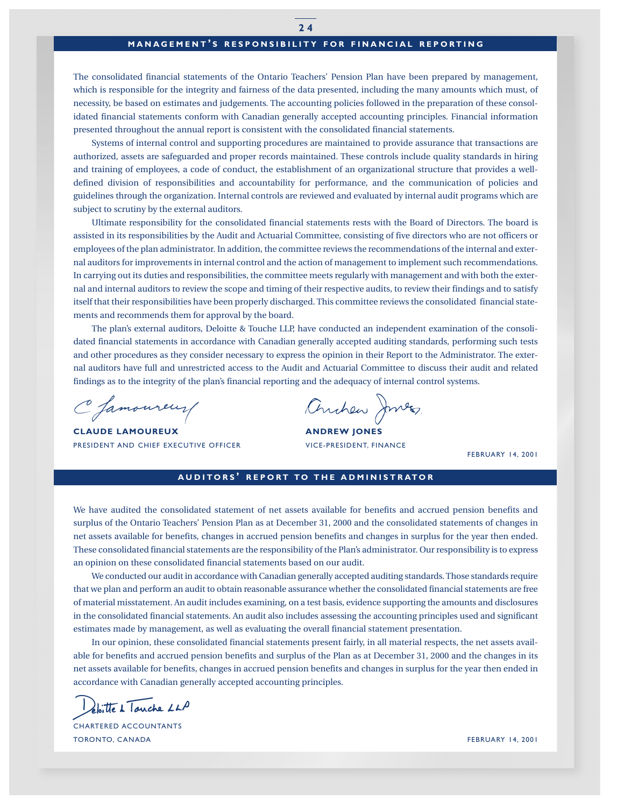# **MANAGEMENT ' S RESPONSIBILITY FOR FINANCIAL REPORTING**

The consolidated financial statements of the Ontario Teachers' Pension Plan have been prepared by management, which is responsible for the integrity and fairness of the data presented, including the many amounts which must, of necessity, be based on estimates and judgements. The accounting policies followed in the preparation of these consolidated financial statements conform with Canadian generally accepted accounting principles. Financial information presented throughout the annual report is consistent with the consolidated financial statements.

Systems of internal control and supporting procedures are maintained to provide assurance that transactions are authorized, assets are safeguarded and proper records maintained. These controls include quality standards in hiring and training of employees, a code of conduct, the establishment of an organizational structure that provides a welldefined division of responsibilities and accountability for performance, and the communication of policies and guidelines through the organization. Internal controls are reviewed and evaluated by internal audit programs which are subject to scrutiny by the external auditors.

Ultimate responsibility for the consolidated financial statements rests with the Board of Directors. The board is assisted in its responsibilities by the Audit and Actuarial Committee, consisting of five directors who are not officers or employees of the plan administrator. In addition, the committee reviews the recommendations of the internal and external auditors for improvements in internal control and the action of management to implement such recommendations. In carrying out its duties and responsibilities, the committee meets regularly with management and with both the external and internal auditors to review the scope and timing of their respective audits, to review their findings and to satisfy itself that their responsibilities have been properly discharged. This committee reviews the consolidated financial statements and recommends them for approval by the board.

The plan's external auditors, Deloitte & Touche LLP, have conducted an independent examination of the consolidated financial statements in accordance with Canadian generally accepted auditing standards, performing such tests and other procedures as they consider necessary to express the opinion in their Report to the Administrator. The external auditors have full and unrestricted access to the Audit and Actuarial Committee to discuss their audit and related findings as to the integrity of the plan's financial reporting and the adequacy of internal control systems.

C famoureur

**CLAUDE LAMOUREUX ANDREW JONES** PRESIDENT AND CHIEF EXECUTIVE OFFICER VICE-PRESIDENT, FINANCE

Anchew Junes.

FEBRUARY 14, 2001

## **AUDITORS ' REPORT TO THE ADMINISTRATOR**

We have audited the consolidated statement of net assets available for benefits and accrued pension benefits and surplus of the Ontario Teachers' Pension Plan as at December 31, 2000 and the consolidated statements of changes in net assets available for benefits, changes in accrued pension benefits and changes in surplus for the year then ended. These consolidated financial statements are the responsibility of the Plan's administrator. Our responsibility is to express an opinion on these consolidated financial statements based on our audit.

We conducted our audit in accordance with Canadian generally accepted auditing standards. Those standards require that we plan and perform an audit to obtain reasonable assurance whether the consolidated financial statements are free of material misstatement. An audit includes examining, on a test basis, evidence supporting the amounts and disclosures in the consolidated financial statements. An audit also includes assessing the accounting principles used and significant estimates made by management, as well as evaluating the overall financial statement presentation.

In our opinion, these consolidated financial statements present fairly, in all material respects, the net assets available for benefits and accrued pension benefits and surplus of the Plan as at December 31, 2000 and the changes in its net assets available for benefits, changes in accrued pension benefits and changes in surplus for the year then ended in accordance with Canadian generally accepted accounting principles.

eloitte à Touche LLP

CHARTERED ACCOUNTANTS TORONTO, CANADA FEBRUARY 14, 2001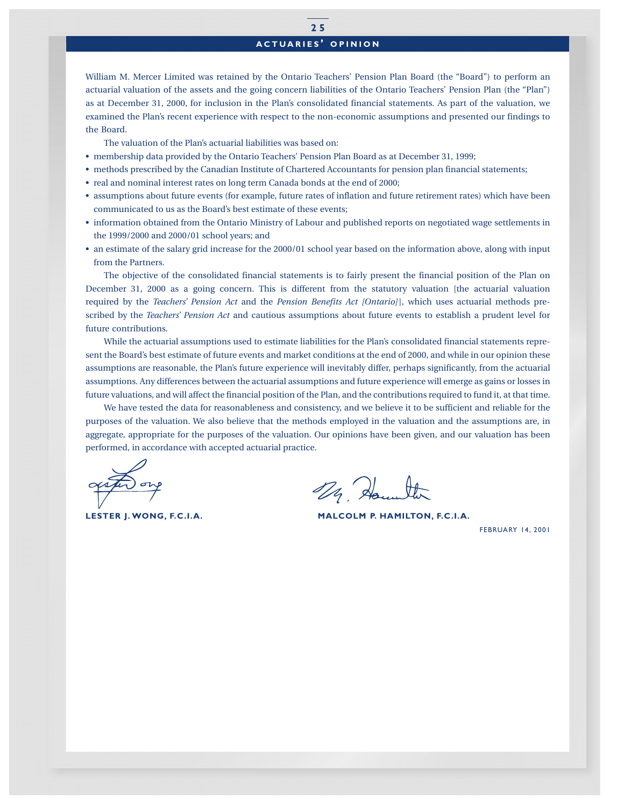# **ACTUARIES ' OPINION**

William M. Mercer Limited was retained by the Ontario Teachers' Pension Plan Board (the "Board") to perform an actuarial valuation of the assets and the going concern liabilities of the Ontario Teachers' Pension Plan (the "Plan") as at December 31, 2000, for inclusion in the Plan's consolidated financial statements. As part of the valuation, we examined the Plan's recent experience with respect to the non-economic assumptions and presented our findings to the Board.

The valuation of the Plan's actuarial liabilities was based on:

- membership data provided by the Ontario Teachers' Pension Plan Board as at December 31, 1999;
- methods prescribed by the Canadian Institute of Chartered Accountants for pension plan financial statements;
- real and nominal interest rates on long term Canada bonds at the end of 2000;
- assumptions about future events (for example, future rates of inflation and future retirement rates) which have been communicated to us as the Board's best estimate of these events;
- information obtained from the Ontario Ministry of Labour and published reports on negotiated wage settlements in the 1999/2000 and 2000/01 school years; and
- an estimate of the salary grid increase for the 2000/01 school year based on the information above, along with input from the Partners.

The objective of the consolidated financial statements is to fairly present the financial position of the Plan on December 31, 2000 as a going concern. This is different from the statutory valuation [the actuarial valuation required by the *Teachers' Pension Act* and the *Pension Benefits Act [Ontario]*], which uses actuarial methods prescribed by the *Teachers' Pension Act* and cautious assumptions about future events to establish a prudent level for future contributions.

While the actuarial assumptions used to estimate liabilities for the Plan's consolidated financial statements represent the Board's best estimate of future events and market conditions at the end of 2000, and while in our opinion these assumptions are reasonable, the Plan's future experience will inevitably differ, perhaps significantly, from the actuarial assumptions. Any differences between the actuarial assumptions and future experience will emerge as gains or losses in future valuations, and will affect the financial position of the Plan, and the contributions required to fund it, at that time.

We have tested the data for reasonableness and consistency, and we believe it to be sufficient and reliable for the purposes of the valuation. We also believe that the methods employed in the valuation and the assumptions are, in aggregate, appropriate for the purposes of the valuation. Our opinions have been given, and our valuation has been performed, in accordance with accepted actuarial practice.

29 Hounter

**LESTER J. WONG, F.C.I.A. MALCOLM P. HAMILTON, F.C.I.A.**

FEBRUARY 14, 2001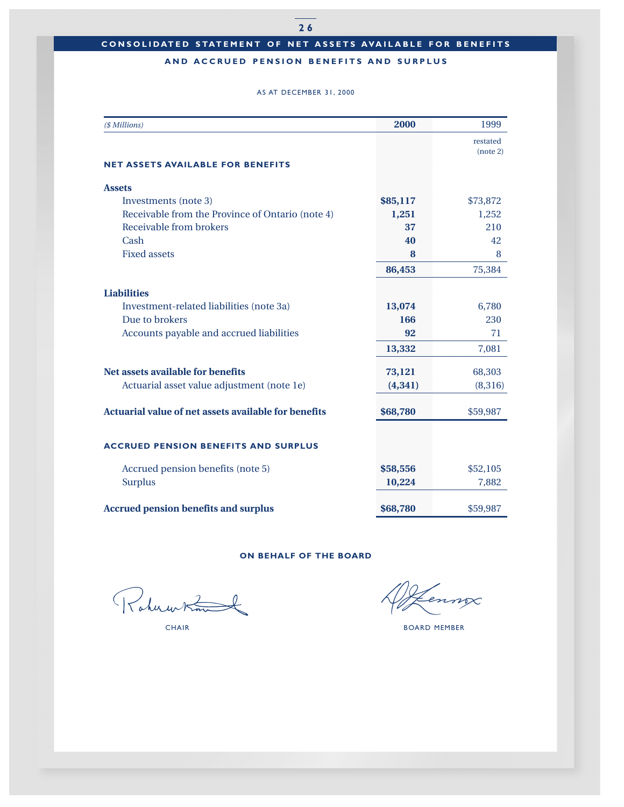# **AND ACCRUED PENSION BENEFITS AND SURPLUS**

#### AS AT DECEMBER 31, 2000

| (\$ Millions)                                        | 2000     | 1999     |
|------------------------------------------------------|----------|----------|
|                                                      |          | restated |
|                                                      |          | (note 2) |
| <b>NET ASSETS AVAILABLE FOR BENEFITS</b>             |          |          |
| <b>Assets</b>                                        |          |          |
| Investments (note 3)                                 | \$85,117 | \$73,872 |
| Receivable from the Province of Ontario (note 4)     | 1,251    | 1,252    |
| Receivable from brokers                              | 37       | 210      |
| Cash                                                 | 40       | 42       |
| <b>Fixed assets</b>                                  | 8        | 8        |
|                                                      | 86,453   | 75,384   |
| <b>Liabilities</b>                                   |          |          |
| Investment-related liabilities (note 3a)             | 13,074   | 6,780    |
| Due to brokers                                       | 166      | 230      |
| Accounts payable and accrued liabilities             | 92       | 71       |
|                                                      | 13,332   | 7,081    |
| Net assets available for benefits                    | 73,121   | 68,303   |
| Actuarial asset value adjustment (note 1e)           | (4, 341) | (8,316)  |
| Actuarial value of net assets available for benefits | \$68,780 | \$59,987 |
| <b>ACCRUED PENSION BENEFITS AND SURPLUS</b>          |          |          |
|                                                      |          |          |
| Accrued pension benefits (note 5)                    | \$58,556 | \$52,105 |
| <b>Surplus</b>                                       | 10,224   | 7,882    |
| <b>Accrued pension benefits and surplus</b>          | \$68,780 | \$59,987 |

## **ON BEHALF OF THE BOARD**

Rahumtim

ennox

CHAIR BOARD MEMBER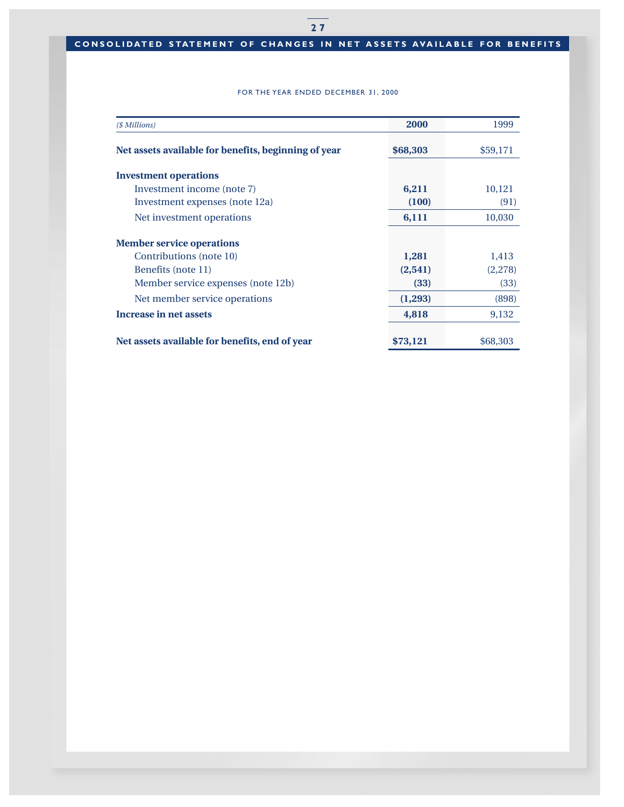# **CONSOLIDATED STATEMENT OF CHANGES IN NET ASSETS AVAILABLE FOR BENEFITS**

## FOR THE YEAR ENDED DECEMBER 31, 2000

| (\$ Millions)                                        | 2000     | 1999     |
|------------------------------------------------------|----------|----------|
| Net assets available for benefits, beginning of year | \$68,303 | \$59,171 |
| <b>Investment operations</b>                         |          |          |
| Investment income (note 7)                           | 6,211    | 10,121   |
| Investment expenses (note 12a)                       | (100)    | (91)     |
| Net investment operations                            | 6,111    | 10,030   |
| <b>Member service operations</b>                     |          |          |
| Contributions (note 10)                              | 1,281    | 1,413    |
| Benefits (note 11)                                   | (2, 541) | (2,278)  |
| Member service expenses (note 12b)                   | (33)     | (33)     |
| Net member service operations                        | (1,293)  | (898)    |
| Increase in net assets                               | 4,818    | 9,132    |
| Net assets available for benefits, end of year       | \$73,121 | \$68,303 |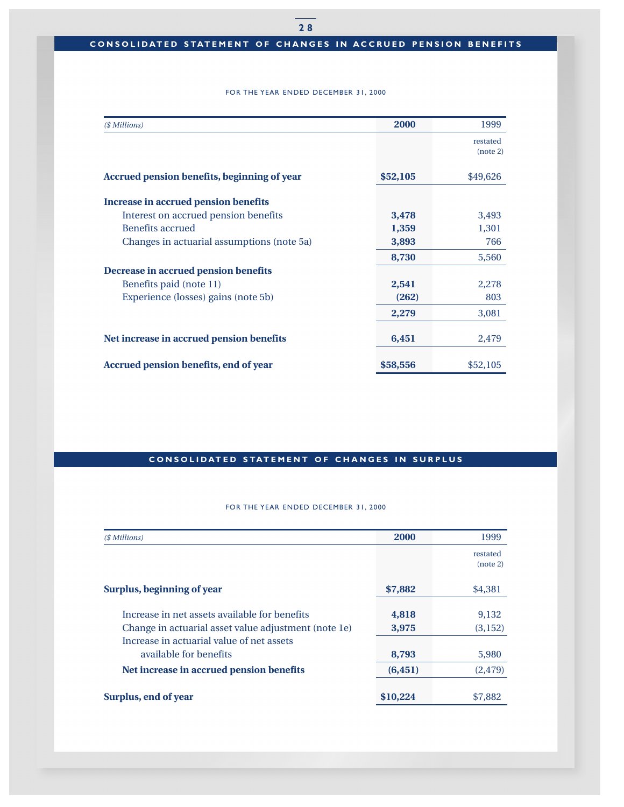## **CONSOLIDATED STATEMENT OF CHANGES IN ACCRUED PENSION BENEFITS**

## FOR THE YEAR ENDED DECEMBER 31, 2000

| (\$ Millions)                               | 2000     | 1999                 |
|---------------------------------------------|----------|----------------------|
|                                             |          | restated<br>(note 2) |
| Accrued pension benefits, beginning of year | \$52,105 | \$49,626             |
| Increase in accrued pension benefits        |          |                      |
| Interest on accrued pension benefits        | 3,478    | 3,493                |
| <b>Benefits accrued</b>                     | 1,359    | 1,301                |
| Changes in actuarial assumptions (note 5a)  | 3,893    | 766                  |
|                                             | 8,730    | 5,560                |
| Decrease in accrued pension benefits        |          |                      |
| Benefits paid (note 11)                     | 2,541    | 2,278                |
| Experience (losses) gains (note 5b)         | (262)    | 803                  |
|                                             | 2,279    | 3,081                |
| Net increase in accrued pension benefits    | 6,451    | 2,479                |
| Accrued pension benefits, end of year       | \$58,556 | \$52,105             |

# **CONSOLIDATED STATEMENT OF CHANGES IN SURPLUS**

## FOR THE YEAR ENDED DECEMBER 31, 2000

| (\$ Millions)                                        | <b>2000</b> | 1999                 |
|------------------------------------------------------|-------------|----------------------|
|                                                      |             | restated<br>(note 2) |
| Surplus, beginning of year                           | \$7,882     | \$4,381              |
| Increase in net assets available for benefits        | 4,818       | 9,132                |
| Change in actuarial asset value adjustment (note 1e) | 3,975       | (3,152)              |
| Increase in actuarial value of net assets            |             |                      |
| available for benefits                               | 8,793       | 5,980                |
| Net increase in accrued pension benefits             | (6, 451)    | (2, 479)             |
| Surplus, end of year                                 | \$10,224    | \$7,882              |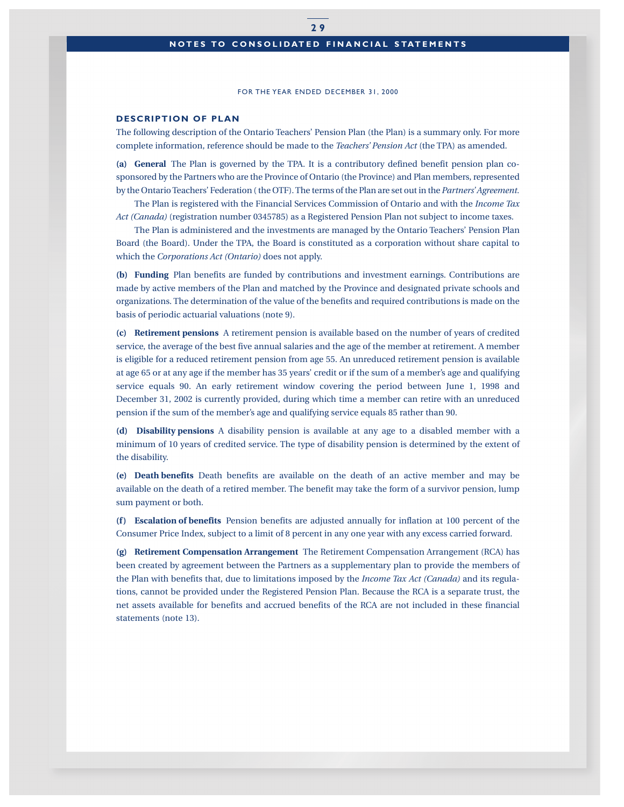## **NOTES TO CONSOLIDATED FINANCIAL STATEMENTS**

#### FOR THE YEAR ENDED DECEMBER 31, 2000

#### **DESCRIPTION OF PLAN**

The following description of the Ontario Teachers' Pension Plan (the Plan) is a summary only. For more complete information, reference should be made to the *Teachers' Pension Act* (the TPA) as amended.

**(a) General** The Plan is governed by the TPA. It is a contributory defined benefit pension plan cosponsored by the Partners who are the Province of Ontario (the Province) and Plan members, represented by the Ontario Teachers' Federation ( the OTF). The terms of the Plan are set out in the *Partners' Agreement.*

The Plan is registered with the Financial Services Commission of Ontario and with the *Income Tax Act (Canada)* (registration number 0345785) as a Registered Pension Plan not subject to income taxes.

The Plan is administered and the investments are managed by the Ontario Teachers' Pension Plan Board (the Board). Under the TPA, the Board is constituted as a corporation without share capital to which the *Corporations Act (Ontario)* does not apply.

**(b) Funding** Plan benefits are funded by contributions and investment earnings. Contributions are made by active members of the Plan and matched by the Province and designated private schools and organizations. The determination of the value of the benefits and required contributions is made on the basis of periodic actuarial valuations (note 9).

**(c) Retirement pensions** A retirement pension is available based on the number of years of credited service, the average of the best five annual salaries and the age of the member at retirement. A member is eligible for a reduced retirement pension from age 55. An unreduced retirement pension is available at age 65 or at any age if the member has 35 years' credit or if the sum of a member's age and qualifying service equals 90. An early retirement window covering the period between June 1, 1998 and December 31, 2002 is currently provided, during which time a member can retire with an unreduced pension if the sum of the member's age and qualifying service equals 85 rather than 90.

**(d) Disability pensions** A disability pension is available at any age to a disabled member with a minimum of 10 years of credited service. The type of disability pension is determined by the extent of the disability.

**(e) Death benefits** Death benefits are available on the death of an active member and may be available on the death of a retired member. The benefit may take the form of a survivor pension, lump sum payment or both.

**(f ) Escalation of benefits** Pension benefits are adjusted annually for inflation at 100 percent of the Consumer Price Index, subject to a limit of 8 percent in any one year with any excess carried forward.

**(g) Retirement Compensation Arrangement** The Retirement Compensation Arrangement (RCA) has been created by agreement between the Partners as a supplementary plan to provide the members of the Plan with benefits that, due to limitations imposed by the *Income Tax Act (Canada)* and its regulations, cannot be provided under the Registered Pension Plan. Because the RCA is a separate trust, the net assets available for benefits and accrued benefits of the RCA are not included in these financial statements (note 13).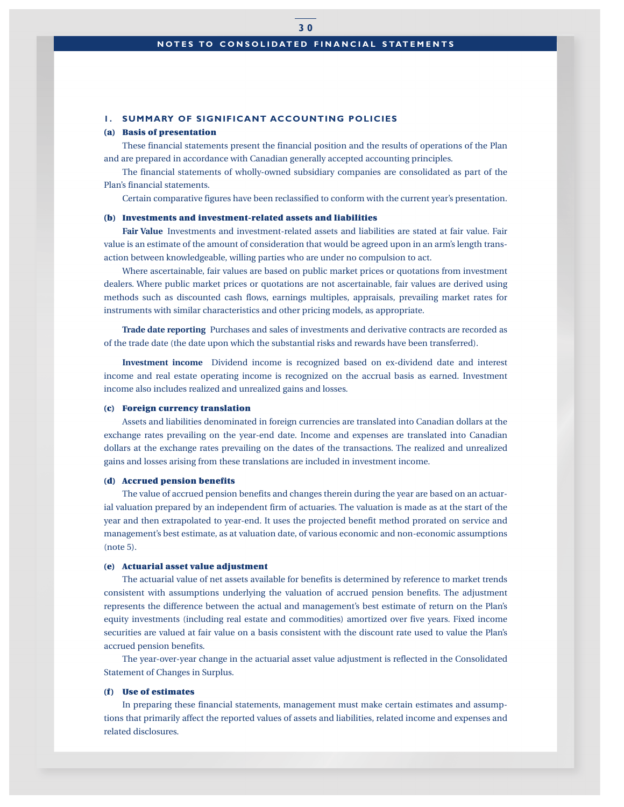## **NOTES TO CONSOLIDATED FINANCIAL STATEMENTS**

#### **1. SUMMARY OF SIGNIFICANT ACCOUNTING POLICIES**

#### **(a) Basis of presentation**

These financial statements present the financial position and the results of operations of the Plan and are prepared in accordance with Canadian generally accepted accounting principles.

The financial statements of wholly-owned subsidiary companies are consolidated as part of the Plan's financial statements.

Certain comparative figures have been reclassified to conform with the current year's presentation.

#### **(b) Investments and investment-related assets and liabilities**

**Fair Value** Investments and investment-related assets and liabilities are stated at fair value. Fair value is an estimate of the amount of consideration that would be agreed upon in an arm's length transaction between knowledgeable, willing parties who are under no compulsion to act.

Where ascertainable, fair values are based on public market prices or quotations from investment dealers. Where public market prices or quotations are not ascertainable, fair values are derived using methods such as discounted cash flows, earnings multiples, appraisals, prevailing market rates for instruments with similar characteristics and other pricing models, as appropriate.

**Trade date reporting** Purchases and sales of investments and derivative contracts are recorded as of the trade date (the date upon which the substantial risks and rewards have been transferred).

**Investment income** Dividend income is recognized based on ex-dividend date and interest income and real estate operating income is recognized on the accrual basis as earned. Investment income also includes realized and unrealized gains and losses.

#### **(c) Foreign currency translation**

Assets and liabilities denominated in foreign currencies are translated into Canadian dollars at the exchange rates prevailing on the year-end date. Income and expenses are translated into Canadian dollars at the exchange rates prevailing on the dates of the transactions. The realized and unrealized gains and losses arising from these translations are included in investment income.

#### **(d) Accrued pension benefits**

The value of accrued pension benefits and changes therein during the year are based on an actuarial valuation prepared by an independent firm of actuaries. The valuation is made as at the start of the year and then extrapolated to year-end. It uses the projected benefit method prorated on service and management's best estimate, as at valuation date, of various economic and non-economic assumptions (note 5).

#### **(e) Actuarial asset value adjustment**

The actuarial value of net assets available for benefits is determined by reference to market trends consistent with assumptions underlying the valuation of accrued pension benefits. The adjustment represents the difference between the actual and management's best estimate of return on the Plan's equity investments (including real estate and commodities) amortized over five years. Fixed income securities are valued at fair value on a basis consistent with the discount rate used to value the Plan's accrued pension benefits.

The year-over-year change in the actuarial asset value adjustment is reflected in the Consolidated Statement of Changes in Surplus.

#### **(f ) Use of estimates**

In preparing these financial statements, management must make certain estimates and assumptions that primarily affect the reported values of assets and liabilities, related income and expenses and related disclosures.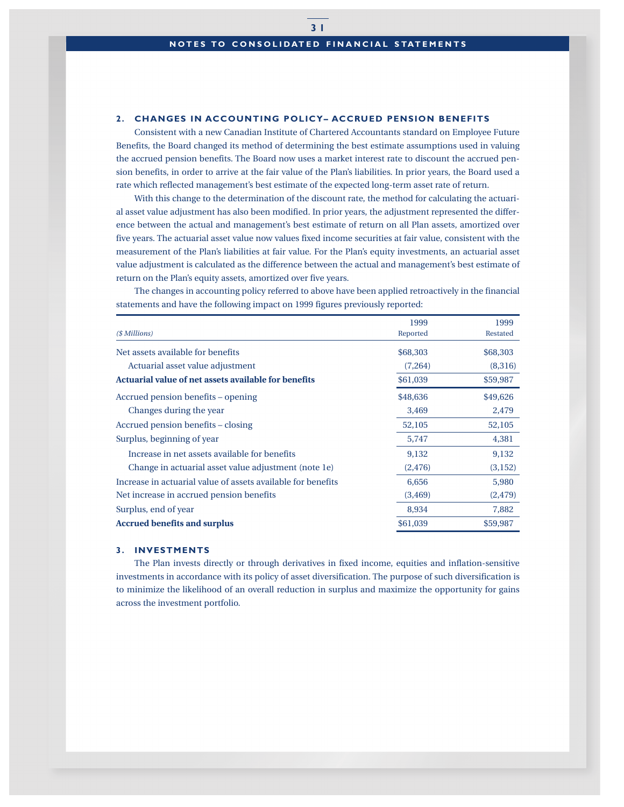## **2. CHANGES IN ACCOUNTING POLICY– ACCRUED PENSION BENEFITS**

Consistent with a new Canadian Institute of Chartered Accountants standard on Employee Future Benefits, the Board changed its method of determining the best estimate assumptions used in valuing the accrued pension benefits. The Board now uses a market interest rate to discount the accrued pension benefits, in order to arrive at the fair value of the Plan's liabilities. In prior years, the Board used a rate which reflected management's best estimate of the expected long-term asset rate of return.

With this change to the determination of the discount rate, the method for calculating the actuarial asset value adjustment has also been modified. In prior years, the adjustment represented the difference between the actual and management's best estimate of return on all Plan assets, amortized over five years. The actuarial asset value now values fixed income securities at fair value, consistent with the measurement of the Plan's liabilities at fair value. For the Plan's equity investments, an actuarial asset value adjustment is calculated as the difference between the actual and management's best estimate of return on the Plan's equity assets, amortized over five years.

The changes in accounting policy referred to above have been applied retroactively in the financial statements and have the following impact on 1999 figures previously reported:

|                                                              | 1999     | 1999     |
|--------------------------------------------------------------|----------|----------|
| (\$ Millions)                                                | Reported | Restated |
| Net assets available for benefits                            | \$68,303 | \$68,303 |
| Actuarial asset value adjustment                             | (7,264)  | (8,316)  |
| Actuarial value of net assets available for benefits         | \$61,039 | \$59,987 |
| Accrued pension benefits – opening                           | \$48,636 | \$49,626 |
| Changes during the year                                      | 3,469    | 2,479    |
| Accrued pension benefits – closing                           | 52,105   | 52,105   |
| Surplus, beginning of year                                   | 5,747    | 4,381    |
| Increase in net assets available for benefits                | 9,132    | 9,132    |
| Change in actuarial asset value adjustment (note 1e)         | (2, 476) | (3, 152) |
| Increase in actuarial value of assets available for benefits | 6,656    | 5,980    |
| Net increase in accrued pension benefits                     | (3, 469) | (2, 479) |
| Surplus, end of year                                         | 8,934    | 7,882    |
| <b>Accrued benefits and surplus</b>                          | \$61,039 | \$59,987 |

#### **3. INVESTMENTS**

The Plan invests directly or through derivatives in fixed income, equities and inflation-sensitive investments in accordance with its policy of asset diversification. The purpose of such diversification is to minimize the likelihood of an overall reduction in surplus and maximize the opportunity for gains across the investment portfolio.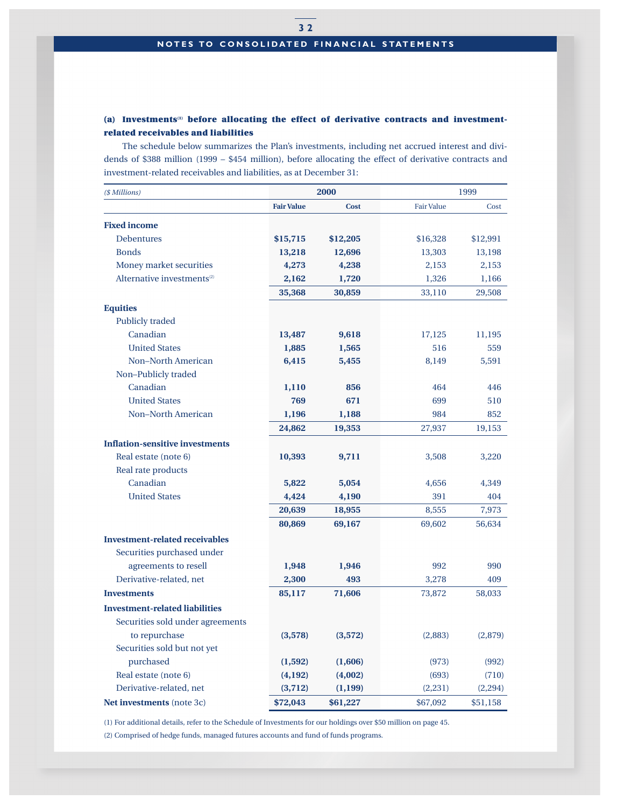# **(a) Investments(1) before allocating the effect of derivative contracts and investmentrelated receivables and liabilities**

The schedule below summarizes the Plan's investments, including net accrued interest and dividends of \$388 million (1999 – \$454 million), before allocating the effect of derivative contracts and investment-related receivables and liabilities, as at December 31:

| (\$ Millions)                          | 2000              |             | 1999              |          |
|----------------------------------------|-------------------|-------------|-------------------|----------|
|                                        | <b>Fair Value</b> | <b>Cost</b> | <b>Fair Value</b> | Cost     |
| <b>Fixed income</b>                    |                   |             |                   |          |
| <b>Debentures</b>                      | \$15,715          | \$12,205    | \$16,328          | \$12,991 |
| <b>Bonds</b>                           | 13,218            | 12,696      | 13,303            | 13,198   |
| Money market securities                | 4,273             | 4,238       | 2,153             | 2,153    |
| Alternative investments <sup>(2)</sup> | 2,162             | 1,720       | 1,326             | 1,166    |
|                                        | 35,368            | 30,859      | 33,110            | 29,508   |
| <b>Equities</b>                        |                   |             |                   |          |
| <b>Publicly traded</b>                 |                   |             |                   |          |
| Canadian                               | 13,487            | 9,618       | 17,125            | 11,195   |
| <b>United States</b>                   | 1,885             | 1,565       | 516               | 559      |
| <b>Non-North American</b>              | 6,415             | 5,455       | 8,149             | 5,591    |
| Non-Publicly traded                    |                   |             |                   |          |
| Canadian                               | 1,110             | 856         | 464               | 446      |
| <b>United States</b>                   | 769               | 671         | 699               | 510      |
| <b>Non-North American</b>              | 1,196             | 1,188       | 984               | 852      |
|                                        | 24,862            | 19,353      | 27,937            | 19,153   |
| <b>Inflation-sensitive investments</b> |                   |             |                   |          |
| Real estate (note 6)                   | 10,393            | 9,711       | 3,508             | 3,220    |
| Real rate products                     |                   |             |                   |          |
| Canadian                               | 5,822             | 5,054       | 4,656             | 4,349    |
| <b>United States</b>                   | 4,424             | 4,190       | 391               | 404      |
|                                        | 20,639            | 18,955      | 8,555             | 7,973    |
|                                        | 80,869            | 69,167      | 69,602            | 56,634   |
| <b>Investment-related receivables</b>  |                   |             |                   |          |
| Securities purchased under             |                   |             |                   |          |
| agreements to resell                   | 1,948             | 1,946       | 992               | 990      |
| Derivative-related, net                | 2,300             | 493         | 3,278             | 409      |
| <b>Investments</b>                     | 85,117            | 71,606      | 73,872            | 58,033   |
| <b>Investment-related liabilities</b>  |                   |             |                   |          |
| Securities sold under agreements       |                   |             |                   |          |
| to repurchase                          | (3,578)           | (3,572)     | (2,883)           | (2,879)  |
| Securities sold but not yet            |                   |             |                   |          |
| purchased                              | (1, 592)          | (1,606)     | (973)             | (992)    |
| Real estate (note 6)                   | (4,192)           | (4,002)     | (693)             | (710)    |
| Derivative-related, net                | (3,712)           | (1, 199)    | (2,231)           | (2,294)  |
| <b>Net investments</b> (note 3c)       | \$72,043          | \$61,227    | \$67,092          | \$51,158 |

(1) For additional details, refer to the Schedule of Investments for our holdings over \$50 million on page 45.

(2) Comprised of hedge funds, managed futures accounts and fund of funds programs.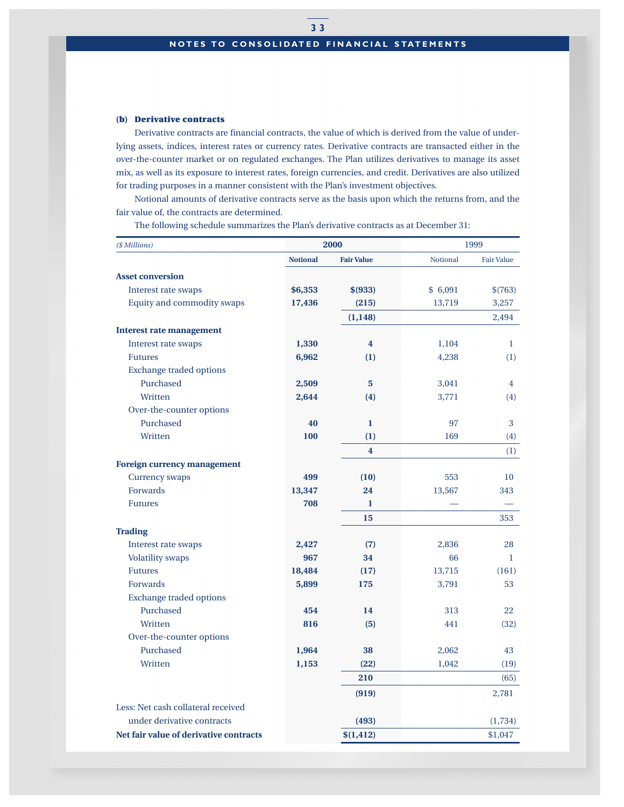## **(b) Derivative contracts**

Derivative contracts are financial contracts, the value of which is derived from the value of underlying assets, indices, interest rates or currency rates. Derivative contracts are transacted either in the over-the-counter market or on regulated exchanges. The Plan utilizes derivatives to manage its asset mix, as well as its exposure to interest rates, foreign currencies, and credit. Derivatives are also utilized for trading purposes in a manner consistent with the Plan's investment objectives.

Notional amounts of derivative contracts serve as the basis upon which the returns from, and the fair value of, the contracts are determined.

The following schedule summarizes the Plan's derivative contracts as at December 31:

| 2000<br>(\$ Millions)                  |                 |                         | 1999     |                   |
|----------------------------------------|-----------------|-------------------------|----------|-------------------|
|                                        | <b>Notional</b> | <b>Fair Value</b>       | Notional | <b>Fair Value</b> |
| <b>Asset conversion</b>                |                 |                         |          |                   |
| Interest rate swaps                    | \$6,353         | \$ (933)                | \$6,091  | \$(763)           |
| Equity and commodity swaps             | 17,436          | (215)                   | 13,719   | 3,257             |
|                                        |                 | (1, 148)                |          | 2,494             |
| <b>Interest rate management</b>        |                 |                         |          |                   |
| Interest rate swaps                    | 1,330           | $\overline{\mathbf{4}}$ | 1,104    | 1                 |
| <b>Futures</b>                         | 6,962           | (1)                     | 4,238    | (1)               |
| <b>Exchange traded options</b>         |                 |                         |          |                   |
| Purchased                              | 2,509           | 5                       | 3,041    | 4                 |
| Written                                | 2,644           | (4)                     | 3,771    | (4)               |
| Over-the-counter options               |                 |                         |          |                   |
| Purchased                              | 40              | $\bf{l}$                | 97       | 3                 |
| Written                                | 100             | (1)                     | 169      | (4)               |
|                                        |                 | $\overline{\mathbf{4}}$ |          | (1)               |
| <b>Foreign currency management</b>     |                 |                         |          |                   |
| Currency swaps                         | 499             | (10)                    | 553      | 10                |
| Forwards                               | 13,347          | 24                      | 13,567   | 343               |
| <b>Futures</b>                         | 708             | 1                       |          |                   |
|                                        |                 | 15                      |          | 353               |
| <b>Trading</b>                         |                 |                         |          |                   |
| Interest rate swaps                    | 2,427           | (7)                     | 2,836    | 28                |
| <b>Volatility</b> swaps                | 967             | 34                      | 66       | $\mathbf{1}$      |
| <b>Futures</b>                         | 18,484          | (17)                    | 13,715   | (161)             |
| Forwards                               | 5,899           | 175                     | 3,791    | 53                |
| <b>Exchange traded options</b>         |                 |                         |          |                   |
| Purchased                              | 454             | 14                      | 313      | 22                |
| Written                                | 816             | (5)                     | 441      | (32)              |
| Over-the-counter options               |                 |                         |          |                   |
| Purchased                              | 1,964           | 38                      | 2,062    | 43                |
| Written                                | 1,153           | (22)                    | 1,042    | (19)              |
|                                        |                 | 210                     |          | (65)              |
|                                        |                 | (919)                   |          | 2,781             |
| Less: Net cash collateral received     |                 |                         |          |                   |
| under derivative contracts             |                 | (493)                   |          | (1,734)           |
| Net fair value of derivative contracts |                 | \$(1, 412)              |          | \$1,047           |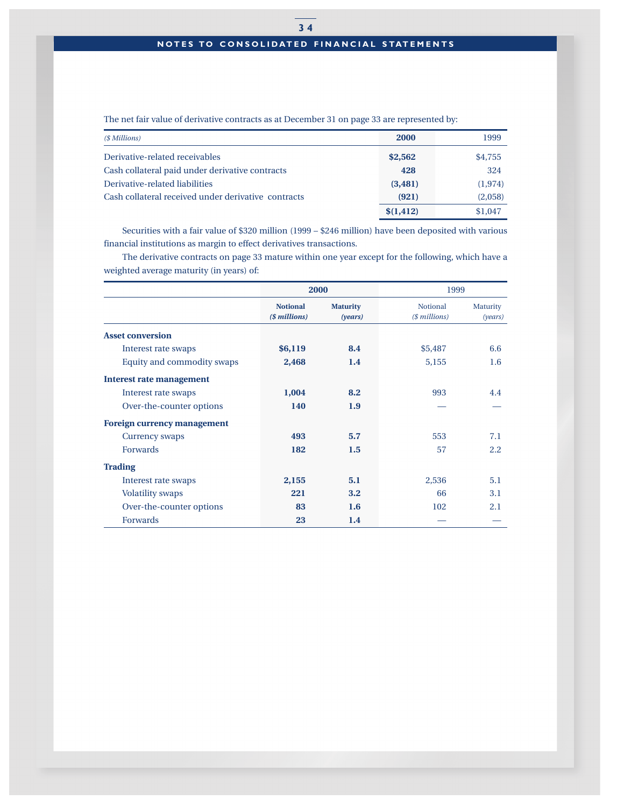# **3 4 NOTES TO CONSOLIDATED FINANCIAL STATEMENTS**

The net fair value of derivative contracts as at December 31 on page 33 are represented by:

| (\$ Millions)                                       | <b>2000</b> | 1999     |
|-----------------------------------------------------|-------------|----------|
| Derivative-related receivables                      | \$2,562     | \$4,755  |
| Cash collateral paid under derivative contracts     | 428         | 324      |
| Derivative-related liabilities                      | (3, 481)    | (1, 974) |
| Cash collateral received under derivative contracts | (921)       | (2,058)  |
|                                                     | \$(1, 412)  | \$1,047  |

Securities with a fair value of \$320 million (1999 – \$246 million) have been deposited with various financial institutions as margin to effect derivatives transactions.

The derivative contracts on page 33 mature within one year except for the following, which have a weighted average maturity (in years) of:

|                                    | 2000                             |                            | 1999                             |                     |
|------------------------------------|----------------------------------|----------------------------|----------------------------------|---------------------|
|                                    | <b>Notional</b><br>(\$ millions) | <b>Maturity</b><br>(years) | <b>Notional</b><br>(\$ millions) | Maturity<br>(years) |
| <b>Asset conversion</b>            |                                  |                            |                                  |                     |
| Interest rate swaps                | \$6,119                          | 8.4                        | \$5,487                          | 6.6                 |
| Equity and commodity swaps         | 2,468                            | 1.4                        | 5,155                            | $1.6\phantom{0}$    |
| <b>Interest rate management</b>    |                                  |                            |                                  |                     |
| Interest rate swaps                | 1,004                            | 8.2                        | 993                              | 4.4                 |
| Over-the-counter options           | 140                              | 1.9                        |                                  |                     |
| <b>Foreign currency management</b> |                                  |                            |                                  |                     |
| Currency swaps                     | 493                              | 5.7                        | 553                              | 7.1                 |
| <b>Forwards</b>                    | 182                              | 1.5                        | 57                               | 2.2                 |
| <b>Trading</b>                     |                                  |                            |                                  |                     |
| Interest rate swaps                | 2,155                            | 5.1                        | 2,536                            | 5.1                 |
| <b>Volatility swaps</b>            | 221                              | 3.2                        | 66                               | 3.1                 |
| Over-the-counter options           | 83                               | 1.6                        | 102                              | 2.1                 |
| <b>Forwards</b>                    | 23                               | 1.4                        |                                  |                     |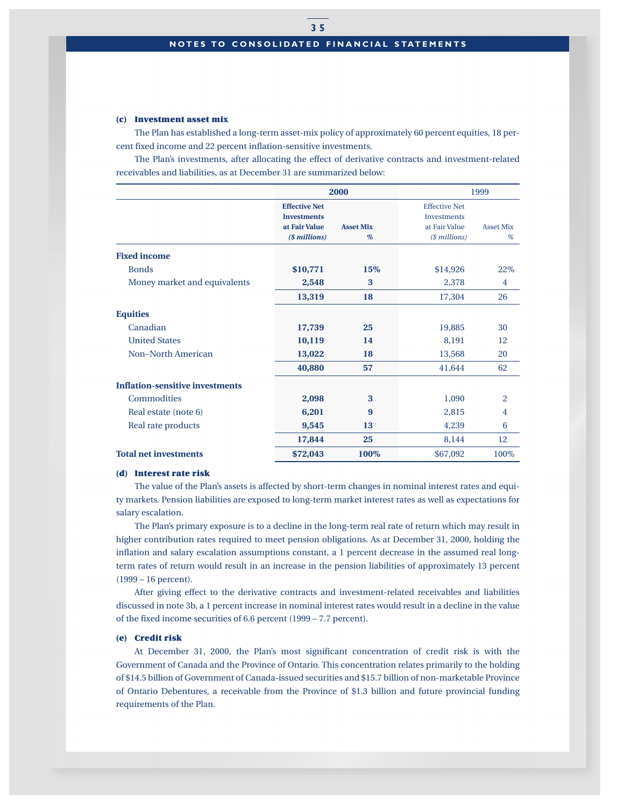#### **(c) Investment asset mix**

The Plan has established a long-term asset-mix policy of approximately 60 percent equities, 18 percent fixed income and 22 percent inflation-sensitive investments.

The Plan's investments, after allocating the effect of derivative contracts and investment-related receivables and liabilities, as at December 31 are summarized below:

|                                        | 2000                 |                  | 1999                 |                  |
|----------------------------------------|----------------------|------------------|----------------------|------------------|
|                                        | <b>Effective Net</b> |                  | <b>Effective Net</b> |                  |
|                                        | <b>Investments</b>   |                  | <b>Investments</b>   |                  |
|                                        | at Fair Value        | <b>Asset Mix</b> | at Fair Value        | <b>Asset Mix</b> |
|                                        | (\$ millions)        | %                | (\$ millions)        | %                |
| <b>Fixed income</b>                    |                      |                  |                      |                  |
| <b>Bonds</b>                           | \$10,771             | 15%              | \$14,926             | 22%              |
| Money market and equivalents           | 2,548                | 3                | 2,378                | 4                |
|                                        | 13,319               | 18               | 17,304               | 26               |
| <b>Equities</b>                        |                      |                  |                      |                  |
| Canadian                               | 17,739               | 25               | 19,885               | 30               |
| <b>United States</b>                   | 10,119               | 14               | 8,191                | 12               |
| <b>Non-North American</b>              | 13,022               | 18               | 13,568               | 20               |
|                                        | 40,880               | 57               | 41,644               | 62               |
| <b>Inflation-sensitive investments</b> |                      |                  |                      |                  |
| Commodities                            | 2,098                | 3                | 1,090                | $\overline{2}$   |
| Real estate (note 6)                   | 6,201                | 9                | 2,815                | 4                |
| Real rate products                     | 9,545                | 13               | 4,239                | 6                |
|                                        | 17,844               | 25               | 8,144                | 12               |
| <b>Total net investments</b>           | \$72,043             | 100%             | \$67,092             | 100\%            |

#### **(d) Interest rate risk**

The value of the Plan's assets is affected by short-term changes in nominal interest rates and equity markets. Pension liabilities are exposed to long-term market interest rates as well as expectations for salary escalation.

The Plan's primary exposure is to a decline in the long-term real rate of return which may result in higher contribution rates required to meet pension obligations. As at December 31, 2000, holding the inflation and salary escalation assumptions constant, a 1 percent decrease in the assumed real longterm rates of return would result in an increase in the pension liabilities of approximately 13 percent (1999 – 16 percent).

After giving effect to the derivative contracts and investment-related receivables and liabilities discussed in note 3b, a 1 percent increase in nominal interest rates would result in a decline in the value of the fixed income securities of 6.6 percent (1999 – 7.7 percent).

#### **(e) Credit risk**

At December 31, 2000, the Plan's most significant concentration of credit risk is with the Government of Canada and the Province of Ontario. This concentration relates primarily to the holding of \$14.5 billion of Government of Canada-issued securities and \$15.7 billion of non-marketable Province of Ontario Debentures, a receivable from the Province of \$1.3 billion and future provincial funding requirements of the Plan.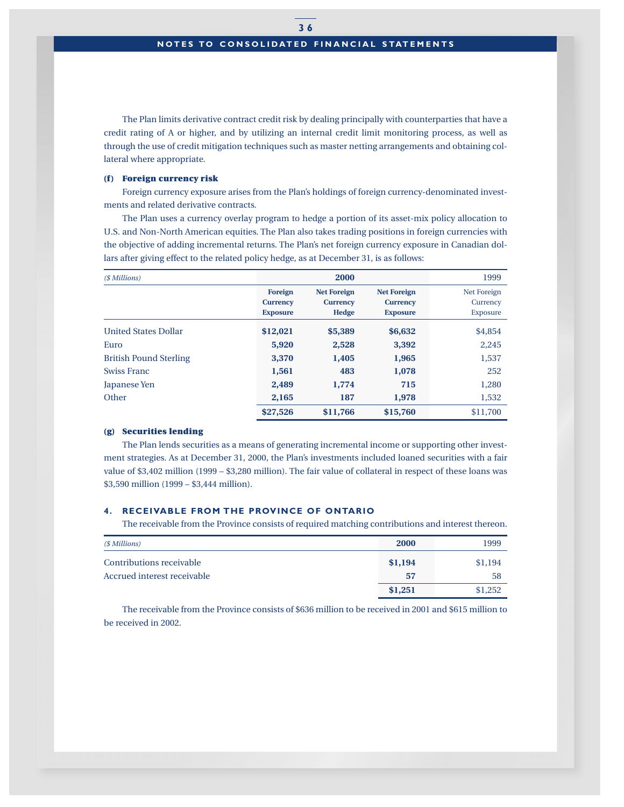The Plan limits derivative contract credit risk by dealing principally with counterparties that have a credit rating of A or higher, and by utilizing an internal credit limit monitoring process, as well as through the use of credit mitigation techniques such as master netting arrangements and obtaining collateral where appropriate.

#### **(f ) Foreign currency risk**

Foreign currency exposure arises from the Plan's holdings of foreign currency-denominated investments and related derivative contracts.

The Plan uses a currency overlay program to hedge a portion of its asset-mix policy allocation to U.S. and Non-North American equities. The Plan also takes trading positions in foreign currencies with the objective of adding incremental returns. The Plan's net foreign currency exposure in Canadian dollars after giving effect to the related policy hedge, as at December 31, is as follows:

| (\$ Millions)                 |                                               | 2000                                           |                                                          | 1999                                |
|-------------------------------|-----------------------------------------------|------------------------------------------------|----------------------------------------------------------|-------------------------------------|
|                               | Foreign<br><b>Currency</b><br><b>Exposure</b> | <b>Net Foreign</b><br><b>Currency</b><br>Hedge | <b>Net Foreign</b><br><b>Currency</b><br><b>Exposure</b> | Net Foreign<br>Currency<br>Exposure |
| <b>United States Dollar</b>   | \$12,021                                      | \$5,389                                        | \$6,632                                                  | \$4,854                             |
| Euro                          | 5,920                                         | 2,528                                          | 3,392                                                    | 2,245                               |
| <b>British Pound Sterling</b> | 3,370                                         | 1,405                                          | 1,965                                                    | 1,537                               |
| <b>Swiss Franc</b>            | 1,561                                         | 483                                            | 1,078                                                    | 252                                 |
| Japanese Yen                  | 2,489                                         | 1,774                                          | 715                                                      | 1,280                               |
| Other                         | 2,165                                         | 187                                            | 1,978                                                    | 1,532                               |
|                               | \$27,526                                      | \$11,766                                       | \$15,760                                                 | \$11,700                            |

#### **(g) Securities lending**

The Plan lends securities as a means of generating incremental income or supporting other investment strategies. As at December 31, 2000, the Plan's investments included loaned securities with a fair value of \$3,402 million (1999 – \$3,280 million). The fair value of collateral in respect of these loans was \$3,590 million (1999 – \$3,444 million).

## **4. RECEIVABLE FROM THE PROVINCE OF ONTARIO**

The receivable from the Province consists of required matching contributions and interest thereon.

| (\$ Millions)                                           | 2000          | 1999          |
|---------------------------------------------------------|---------------|---------------|
| Contributions receivable<br>Accrued interest receivable | \$1,194<br>57 | \$1,194<br>58 |
|                                                         | \$1,251       | \$1,252       |

The receivable from the Province consists of \$636 million to be received in 2001 and \$615 million to be received in 2002.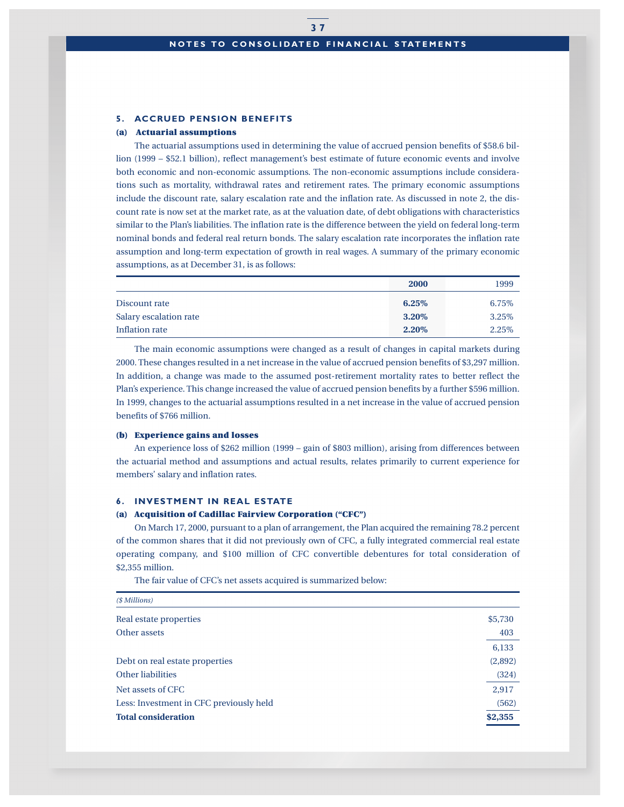## **5. ACCRUED PENSION BENEFITS**

#### **(a) Actuarial assumptions**

The actuarial assumptions used in determining the value of accrued pension benefits of \$58.6 billion (1999 – \$52.1 billion), reflect management's best estimate of future economic events and involve both economic and non-economic assumptions. The non-economic assumptions include considerations such as mortality, withdrawal rates and retirement rates. The primary economic assumptions include the discount rate, salary escalation rate and the inflation rate. As discussed in note 2, the discount rate is now set at the market rate, as at the valuation date, of debt obligations with characteristics similar to the Plan's liabilities. The inflation rate is the difference between the yield on federal long-term nominal bonds and federal real return bonds. The salary escalation rate incorporates the inflation rate assumption and long-term expectation of growth in real wages. A summary of the primary economic assumptions, as at December 31, is as follows:

|                        | 2000  | 1999  |
|------------------------|-------|-------|
| Discount rate          | 6.25% | 6.75% |
| Salary escalation rate | 3.20% | 3.25% |
| Inflation rate         | 2.20% | 2.25% |

The main economic assumptions were changed as a result of changes in capital markets during 2000. These changes resulted in a net increase in the value of accrued pension benefits of \$3,297 million. In addition, a change was made to the assumed post-retirement mortality rates to better reflect the Plan's experience. This change increased the value of accrued pension benefits by a further \$596 million. In 1999, changes to the actuarial assumptions resulted in a net increase in the value of accrued pension benefits of \$766 million.

#### **(b) Experience gains and losses**

An experience loss of \$262 million (1999 – gain of \$803 million), arising from differences between the actuarial method and assumptions and actual results, relates primarily to current experience for members' salary and inflation rates.

#### **6. INVESTMENT IN REAL ESTATE**

#### **(a) Acquisition of Cadillac Fairview Corporation ("CFC")**

On March 17, 2000, pursuant to a plan of arrangement, the Plan acquired the remaining 78.2 percent of the common shares that it did not previously own of CFC, a fully integrated commercial real estate operating company, and \$100 million of CFC convertible debentures for total consideration of \$2,355 million.

The fair value of CFC's net assets acquired is summarized below:

| \$5,730 |
|---------|
| 403     |
| 6,133   |
| (2,892) |
| (324)   |
| 2,917   |
| (562)   |
| \$2,355 |
|         |

**3 7**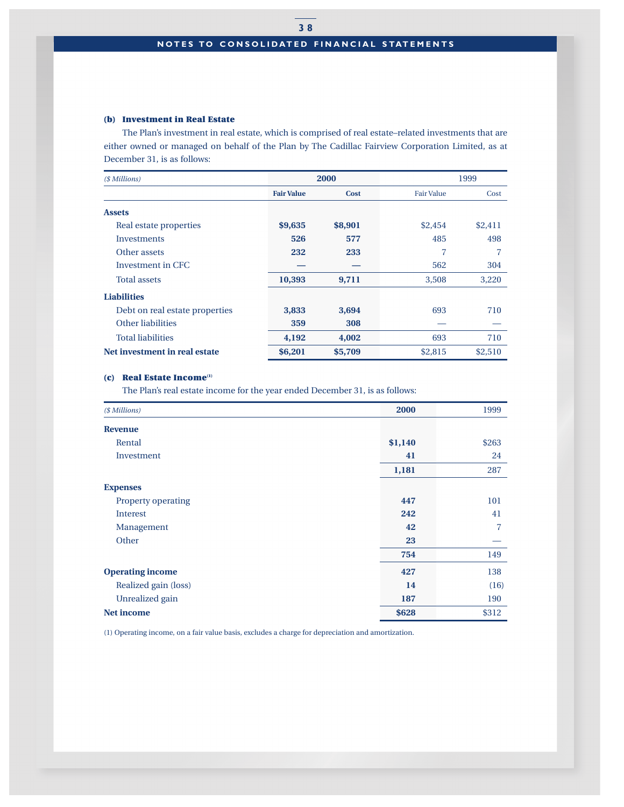## **NOTES TO CONSOLIDATED FINANCIAL STATEMENTS**

## **(b) Investment in Real Estate**

The Plan's investment in real estate, which is comprised of real estate–related investments that are either owned or managed on behalf of the Plan by The Cadillac Fairview Corporation Limited, as at December 31, is as follows:

| (\$ Millions)                  | 2000              |             |                   | 1999    |
|--------------------------------|-------------------|-------------|-------------------|---------|
|                                | <b>Fair Value</b> | <b>Cost</b> | <b>Fair Value</b> | Cost    |
| <b>Assets</b>                  |                   |             |                   |         |
| Real estate properties         | \$9,635           | \$8,901     | \$2,454           | \$2,411 |
| Investments                    | 526               | 577         | 485               | 498     |
| Other assets                   | 232               | 233         | 7                 |         |
| Investment in CFC              |                   |             | 562               | 304     |
| <b>Total assets</b>            | 10,393            | 9,711       | 3,508             | 3,220   |
| <b>Liabilities</b>             |                   |             |                   |         |
| Debt on real estate properties | 3,833             | 3,694       | 693               | 710     |
| Other liabilities              | 359               | 308         |                   |         |
| <b>Total liabilities</b>       | 4,192             | 4,002       | 693               | 710     |
| Net investment in real estate  | \$6,201           | \$5,709     | \$2,815           | \$2,510 |

## **(c) Real Estate Income(1)**

The Plan's real estate income for the year ended December 31, is as follows:

| (\$ Millions)             | 2000    | 1999  |
|---------------------------|---------|-------|
| <b>Revenue</b>            |         |       |
| Rental                    | \$1,140 | \$263 |
| Investment                | 41      | 24    |
|                           | 1,181   | 287   |
| <b>Expenses</b>           |         |       |
| <b>Property operating</b> | 447     | 101   |
| <b>Interest</b>           | 242     | 41    |
| Management                | 42      | 7     |
| Other                     | 23      |       |
|                           | 754     | 149   |
| <b>Operating income</b>   | 427     | 138   |
| Realized gain (loss)      | 14      | (16)  |
| Unrealized gain           | 187     | 190   |
| <b>Net income</b>         | \$628   | \$312 |

(1) Operating income, on a fair value basis, excludes a charge for depreciation and amortization.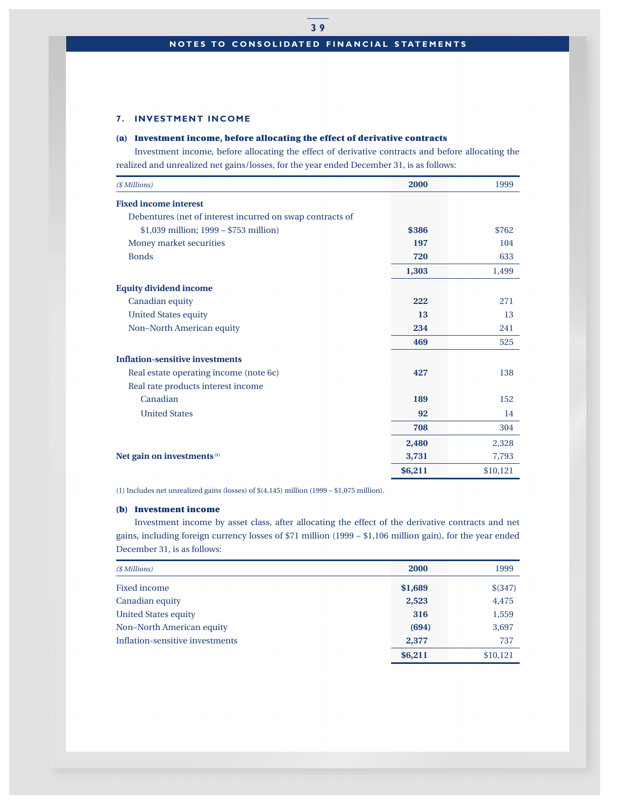## **7. INVESTMENT INCOME**

## **(a) Investment income, before allocating the effect of derivative contracts**

Investment income, before allocating the effect of derivative contracts and before allocating the realized and unrealized net gains/losses, for the year ended December 31, is as follows:

| (\$ Millions)                                             | 2000    | 1999     |
|-----------------------------------------------------------|---------|----------|
| <b>Fixed income interest</b>                              |         |          |
| Debentures (net of interest incurred on swap contracts of |         |          |
| $$1,039$ million; $1999 - $753$ million)                  | \$386   | \$762    |
| Money market securities                                   | 197     | 104      |
| <b>Bonds</b>                                              | 720     | 633      |
|                                                           | 1,303   | 1,499    |
| <b>Equity dividend income</b>                             |         |          |
| Canadian equity                                           | 222     | 271      |
| <b>United States equity</b>                               | 13      | 13       |
| Non-North American equity                                 | 234     | 241      |
|                                                           | 469     | 525      |
| <b>Inflation-sensitive investments</b>                    |         |          |
| Real estate operating income (note 6c)                    | 427     | 138      |
| Real rate products interest income                        |         |          |
| Canadian                                                  | 189     | 152      |
| <b>United States</b>                                      | 92      | 14       |
|                                                           | 708     | 304      |
|                                                           | 2,480   | 2,328    |
| Net gain on investments <sup>(1)</sup>                    | 3,731   | 7,793    |
|                                                           | \$6,211 | \$10,121 |

(1) Includes net unrealized gains (losses) of \$(4,145) million (1999 – \$1,075 million).

## **(b) Investment income**

Investment income by asset class, after allocating the effect of the derivative contracts and net gains, including foreign currency losses of \$71 million (1999 – \$1,106 million gain), for the year ended December 31, is as follows:

| (\$ Millions)                   | 2000    | 1999     |
|---------------------------------|---------|----------|
| Fixed income                    | \$1,689 | \$ (347) |
| Canadian equity                 | 2,523   | 4,475    |
| <b>United States equity</b>     | 316     | 1,559    |
| Non-North American equity       | (694)   | 3,697    |
| Inflation-sensitive investments | 2,377   | 737      |
|                                 | \$6,211 | \$10,121 |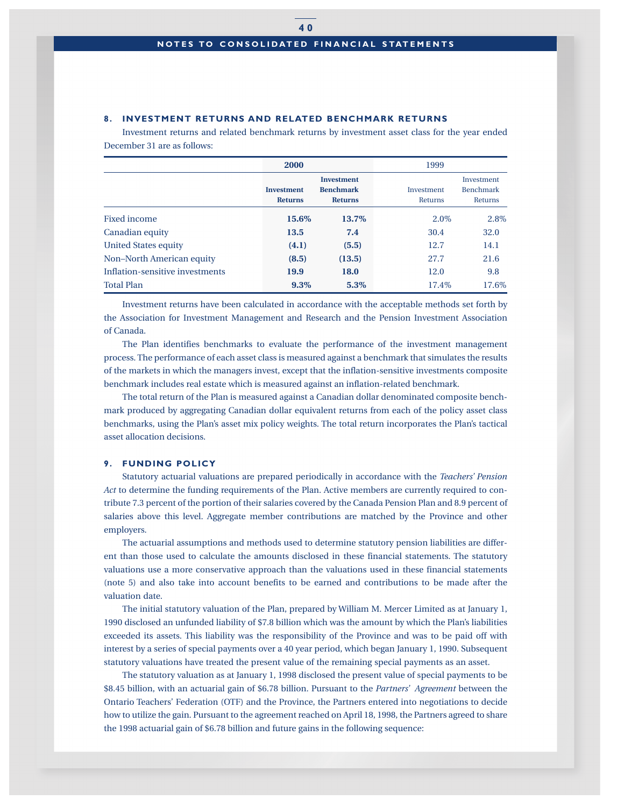#### **8. INVESTMENT RETURNS AND RELATED BENCHMARK RETURNS**

Investment returns and related benchmark returns by investment asset class for the year ended December 31 are as follows:

|                                 | 2000                                |                                                         | 1999                  |                                           |
|---------------------------------|-------------------------------------|---------------------------------------------------------|-----------------------|-------------------------------------------|
|                                 | <b>Investment</b><br><b>Returns</b> | <b>Investment</b><br><b>Benchmark</b><br><b>Returns</b> | Investment<br>Returns | Investment<br><b>Benchmark</b><br>Returns |
| <b>Fixed income</b>             | 15.6%                               | 13.7%                                                   | $2.0\%$               | 2.8%                                      |
| Canadian equity                 | 13.5                                | 7.4                                                     | 30.4                  | 32.0                                      |
| United States equity            | (4.1)                               | (5.5)                                                   | 12.7                  | 14.1                                      |
| Non-North American equity       | (8.5)                               | (13.5)                                                  | 27.7                  | 21.6                                      |
| Inflation-sensitive investments | 19.9                                | 18.0                                                    | 12.0                  | 9.8                                       |
| <b>Total Plan</b>               | 9.3%                                | 5.3%                                                    | 17.4%                 | 17.6%                                     |

Investment returns have been calculated in accordance with the acceptable methods set forth by the Association for Investment Management and Research and the Pension Investment Association of Canada.

The Plan identifies benchmarks to evaluate the performance of the investment management process. The performance of each asset class is measured against a benchmark that simulates the results of the markets in which the managers invest, except that the inflation-sensitive investments composite benchmark includes real estate which is measured against an inflation-related benchmark.

The total return of the Plan is measured against a Canadian dollar denominated composite benchmark produced by aggregating Canadian dollar equivalent returns from each of the policy asset class benchmarks, using the Plan's asset mix policy weights. The total return incorporates the Plan's tactical asset allocation decisions.

#### **9. FUNDING POLICY**

Statutory actuarial valuations are prepared periodically in accordance with the *Teachers' Pension Act* to determine the funding requirements of the Plan. Active members are currently required to contribute 7.3 percent of the portion of their salaries covered by the Canada Pension Plan and 8.9 percent of salaries above this level. Aggregate member contributions are matched by the Province and other employers.

The actuarial assumptions and methods used to determine statutory pension liabilities are different than those used to calculate the amounts disclosed in these financial statements. The statutory valuations use a more conservative approach than the valuations used in these financial statements (note 5) and also take into account benefits to be earned and contributions to be made after the valuation date.

The initial statutory valuation of the Plan, prepared by William M. Mercer Limited as at January 1, 1990 disclosed an unfunded liability of \$7.8 billion which was the amount by which the Plan's liabilities exceeded its assets. This liability was the responsibility of the Province and was to be paid off with interest by a series of special payments over a 40 year period, which began January 1, 1990. Subsequent statutory valuations have treated the present value of the remaining special payments as an asset.

The statutory valuation as at January 1, 1998 disclosed the present value of special payments to be \$8.45 billion, with an actuarial gain of \$6.78 billion. Pursuant to the *Partners' Agreement* between the Ontario Teachers' Federation (OTF) and the Province, the Partners entered into negotiations to decide how to utilize the gain. Pursuant to the agreement reached on April 18, 1998, the Partners agreed to share the 1998 actuarial gain of \$6.78 billion and future gains in the following sequence: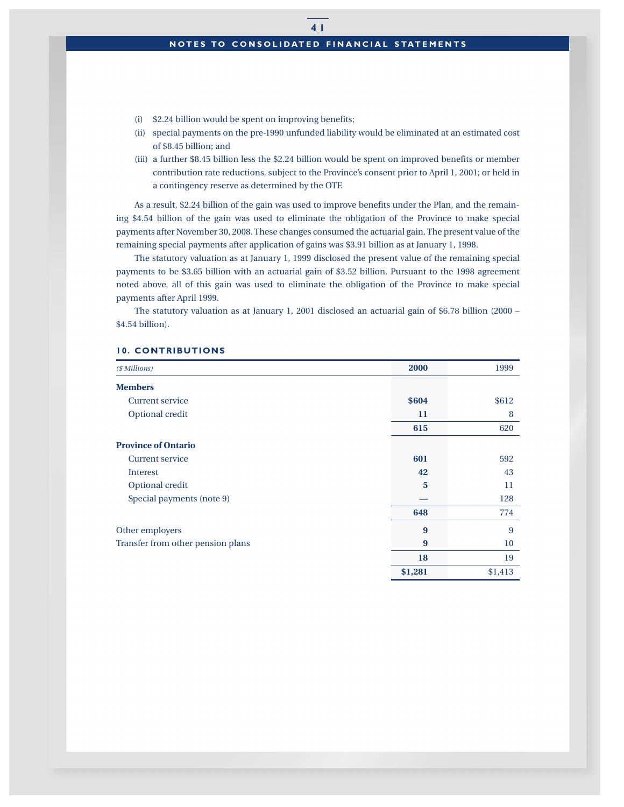- (i) \$2.24 billion would be spent on improving benefits;
- (ii) special payments on the pre-1990 unfunded liability would be eliminated at an estimated cost of \$8.45 billion; and
- (iii) a further \$8.45 billion less the \$2.24 billion would be spent on improved benefits or member contribution rate reductions, subject to the Province's consent prior to April 1, 2001; or held in a contingency reserve as determined by the OTF.

As a result, \$2.24 billion of the gain was used to improve benefits under the Plan, and the remaining \$4.54 billion of the gain was used to eliminate the obligation of the Province to make special payments after November 30, 2008. These changes consumed the actuarial gain. The present value of the remaining special payments after application of gains was \$3.91 billion as at January 1, 1998.

The statutory valuation as at January 1, 1999 disclosed the present value of the remaining special payments to be \$3.65 billion with an actuarial gain of \$3.52 billion. Pursuant to the 1998 agreement noted above, all of this gain was used to eliminate the obligation of the Province to make special payments after April 1999.

The statutory valuation as at January 1, 2001 disclosed an actuarial gain of \$6.78 billion (2000 – \$4.54 billion).

| ( <i><i><b>\$ Millions</b></i>)</i> | 2000    | 1999    |
|-------------------------------------|---------|---------|
| <b>Members</b>                      |         |         |
| <b>Current service</b>              | \$604   | \$612   |
| Optional credit                     | 11      | 8       |
|                                     | 615     | 620     |
| <b>Province of Ontario</b>          |         |         |
| Current service                     | 601     | 592     |
| Interest                            | 42      | 43      |
| Optional credit                     | 5       | 11      |
| Special payments (note 9)           |         | 128     |
|                                     | 648     | 774     |
| Other employers                     | 9       | 9       |
| Transfer from other pension plans   | 9       | 10      |
|                                     | 18      | 19      |
|                                     | \$1,281 | \$1,413 |

#### **10. CONTRIBUTIONS**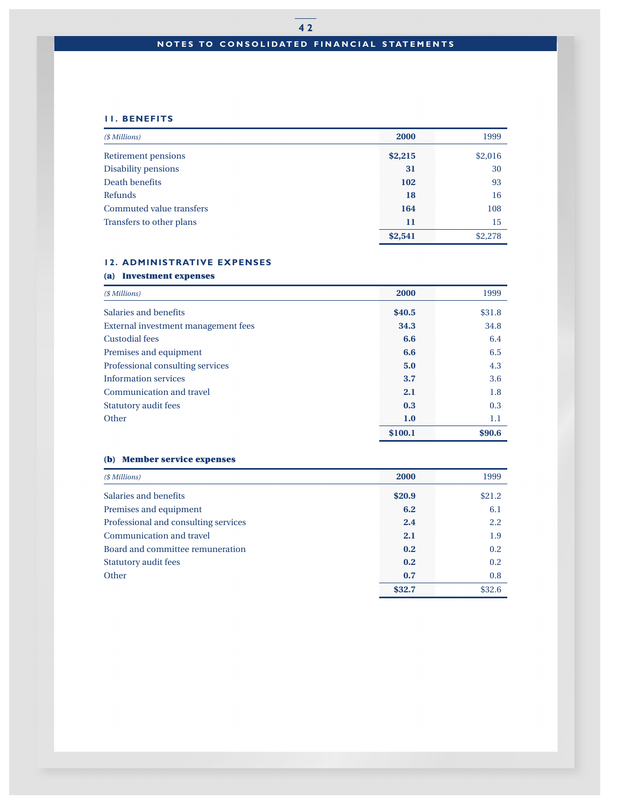# **4 2 NOTES TO CONSOLIDATED FINANCIAL STATEMENTS**

# **11. BENEFITS**

| (\$ Millions)            | 2000    | 1999    |
|--------------------------|---------|---------|
| Retirement pensions      | \$2,215 | \$2,016 |
| Disability pensions      | 31      | 30      |
| Death benefits           | 102     | 93      |
| Refunds                  | 18      | 16      |
| Commuted value transfers | 164     | 108     |
| Transfers to other plans | 11      | 15      |
|                          | \$2,541 | \$2,278 |

## **12. ADMINISTRATIVE EXPENSES**

# **(a) Investment expenses**

| (\$ Millions)                       | 2000    | 1999   |
|-------------------------------------|---------|--------|
| Salaries and benefits               | \$40.5  | \$31.8 |
| External investment management fees | 34.3    | 34.8   |
| <b>Custodial fees</b>               | 6.6     | 6.4    |
| Premises and equipment              | 6.6     | 6.5    |
| Professional consulting services    | 5.0     | 4.3    |
| <b>Information services</b>         | 3.7     | 3.6    |
| Communication and travel            | 2.1     | 1.8    |
| <b>Statutory audit fees</b>         | 0.3     | 0.3    |
| Other                               | 1.0     | 1.1    |
|                                     | \$100.1 | \$90.6 |

## **(b) Member service expenses**

| (\$ Millions)                        | 2000   | 1999   |
|--------------------------------------|--------|--------|
| Salaries and benefits                | \$20.9 | \$21.2 |
| Premises and equipment               | 6.2    | 6.1    |
| Professional and consulting services | 2.4    | 2.2    |
| Communication and travel             | 2.1    | 1.9    |
| Board and committee remuneration     | 0.2    | 0.2    |
| <b>Statutory audit fees</b>          | 0.2    | 0.2    |
| Other                                | 0.7    | 0.8    |
|                                      | \$32.7 | \$32.6 |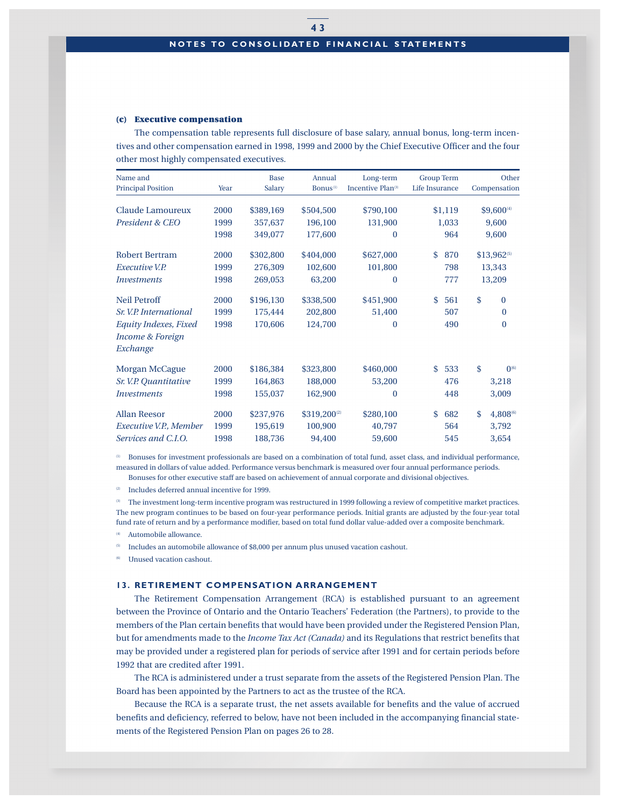#### **(c) Executive compensation**

The compensation table represents full disclosure of base salary, annual bonus, long-term incentives and other compensation earned in 1998, 1999 and 2000 by the Chief Executive Officer and the four other most highly compensated executives.

| Name and<br><b>Principal Position</b> | Year | <b>Base</b><br>Salary | Annual<br>Bonus <sup>(1)</sup> | Long-term<br>Incentive Plan <sup>(3)</sup> | <b>Group Term</b><br>Life Insurance | Other<br>Compensation   |
|---------------------------------------|------|-----------------------|--------------------------------|--------------------------------------------|-------------------------------------|-------------------------|
| Claude Lamoureux                      | 2000 | \$389,169             | \$504,500                      | \$790,100                                  | \$1,119                             | \$9,600(4)              |
| President & CEO                       | 1999 | 357,637               | 196,100                        | 131,900                                    | 1,033                               | 9,600                   |
|                                       | 1998 | 349,077               | 177,600                        | $\mathbf{0}$                               | 964                                 | 9,600                   |
| <b>Robert Bertram</b>                 | 2000 | \$302,800             | \$404,000                      | \$627,000                                  | 870<br>\$                           | \$13,962 <sup>(5)</sup> |
| <i>Executive V.P.</i>                 | 1999 | 276,309               | 102,600                        | 101,800                                    | 798                                 | 13,343                  |
| <i>Investments</i>                    | 1998 | 269,053               | 63,200                         | $\mathbf{0}$                               | 777                                 | 13,209                  |
| <b>Neil Petroff</b>                   | 2000 | \$196,130             | \$338,500                      | \$451,900                                  | 561<br>\$                           | \$<br>$\Omega$          |
| Sr. V.P. International                | 1999 | 175,444               | 202,800                        | 51,400                                     | 507                                 | $\Omega$                |
| Equity Indexes, Fixed                 | 1998 | 170,606               | 124,700                        | $\theta$                                   | 490                                 | $\theta$                |
| <b>Income &amp; Foreign</b>           |      |                       |                                |                                            |                                     |                         |
| Exchange                              |      |                       |                                |                                            |                                     |                         |
| Morgan McCague                        | 2000 | \$186,384             | \$323,800                      | \$460,000                                  | 533<br>\$                           | \$<br>$0^{(6)}$         |
| Sr. V.P. Quantitative                 | 1999 | 164,863               | 188,000                        | 53,200                                     | 476                                 | 3,218                   |
| <i><u><b>Investments</b></u></i>      | 1998 | 155,037               | 162,900                        | $\bf{0}$                                   | 448                                 | 3,009                   |
| <b>Allan Reesor</b>                   | 2000 | \$237,976             | \$319,200 <sup>(2)</sup>       | \$280,100                                  | 682<br>\$                           | \$.<br>4,808(6)         |
| Executive V.P., Member                | 1999 | 195,619               | 100,900                        | 40,797                                     | 564                                 | 3,792                   |
| Services and C.I.O.                   | 1998 | 188,736               | 94,400                         | 59,600                                     | 545                                 | 3,654                   |

(1) Bonuses for investment professionals are based on a combination of total fund, asset class, and individual performance, measured in dollars of value added. Performance versus benchmark is measured over four annual performance periods. Bonuses for other executive staff are based on achievement of annual corporate and divisional objectives.

(2) Includes deferred annual incentive for 1999.

<sup>(3)</sup> The investment long-term incentive program was restructured in 1999 following a review of competitive market practices. The new program continues to be based on four-year performance periods. Initial grants are adjusted by the four-year total fund rate of return and by a performance modifier, based on total fund dollar value-added over a composite benchmark.

Automobile allowance.

Includes an automobile allowance of \$8,000 per annum plus unused vacation cashout.

Unused vacation cashout.

## **13. RETIREMENT COMPENSATION ARRANGEMENT**

The Retirement Compensation Arrangement (RCA) is established pursuant to an agreement between the Province of Ontario and the Ontario Teachers' Federation (the Partners), to provide to the members of the Plan certain benefits that would have been provided under the Registered Pension Plan, but for amendments made to the *Income Tax Act (Canada)* and its Regulations that restrict benefits that may be provided under a registered plan for periods of service after 1991 and for certain periods before 1992 that are credited after 1991.

The RCA is administered under a trust separate from the assets of the Registered Pension Plan. The Board has been appointed by the Partners to act as the trustee of the RCA.

Because the RCA is a separate trust, the net assets available for benefits and the value of accrued benefits and deficiency, referred to below, have not been included in the accompanying financial statements of the Registered Pension Plan on pages 26 to 28.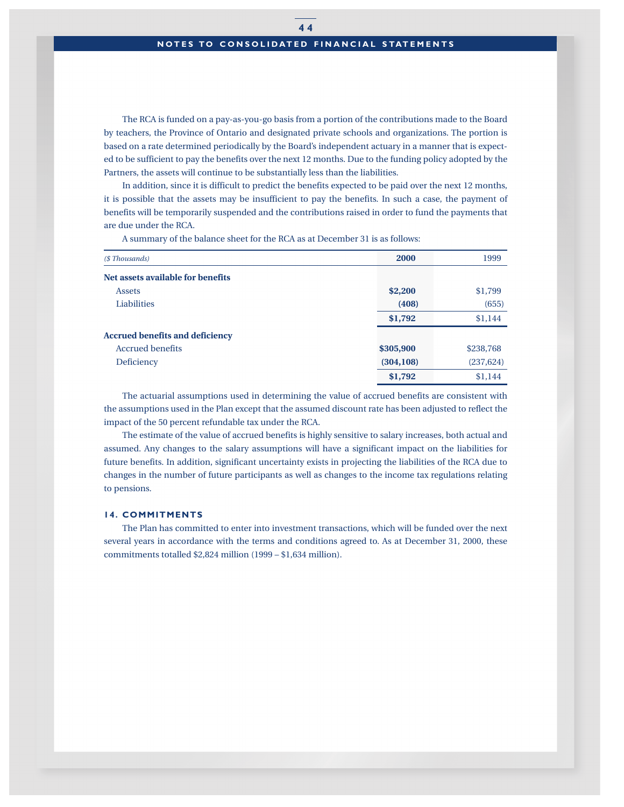## **NOTES TO CONSOLIDATED FINANCIAL STATEMENTS**

The RCA is funded on a pay-as-you-go basis from a portion of the contributions made to the Board by teachers, the Province of Ontario and designated private schools and organizations. The portion is based on a rate determined periodically by the Board's independent actuary in a manner that is expected to be sufficient to pay the benefits over the next 12 months. Due to the funding policy adopted by the Partners, the assets will continue to be substantially less than the liabilities.

In addition, since it is difficult to predict the benefits expected to be paid over the next 12 months, it is possible that the assets may be insufficient to pay the benefits. In such a case, the payment of benefits will be temporarily suspended and the contributions raised in order to fund the payments that are due under the RCA.

A summary of the balance sheet for the RCA as at December 31 is as follows:

| (\$ Thousands)                         | 2000       | 1999       |
|----------------------------------------|------------|------------|
| Net assets available for benefits      |            |            |
| <b>Assets</b>                          | \$2,200    | \$1,799    |
| Liabilities                            | (408)      | (655)      |
|                                        | \$1,792    | \$1,144    |
| <b>Accrued benefits and deficiency</b> |            |            |
| <b>Accrued benefits</b>                | \$305,900  | \$238,768  |
| Deficiency                             | (304, 108) | (237, 624) |
|                                        | \$1,792    | \$1,144    |

The actuarial assumptions used in determining the value of accrued benefits are consistent with the assumptions used in the Plan except that the assumed discount rate has been adjusted to reflect the impact of the 50 percent refundable tax under the RCA.

The estimate of the value of accrued benefits is highly sensitive to salary increases, both actual and assumed. Any changes to the salary assumptions will have a significant impact on the liabilities for future benefits. In addition, significant uncertainty exists in projecting the liabilities of the RCA due to changes in the number of future participants as well as changes to the income tax regulations relating to pensions.

## **14. COMMITMENTS**

The Plan has committed to enter into investment transactions, which will be funded over the next several years in accordance with the terms and conditions agreed to. As at December 31, 2000, these commitments totalled \$2,824 million (1999 – \$1,634 million).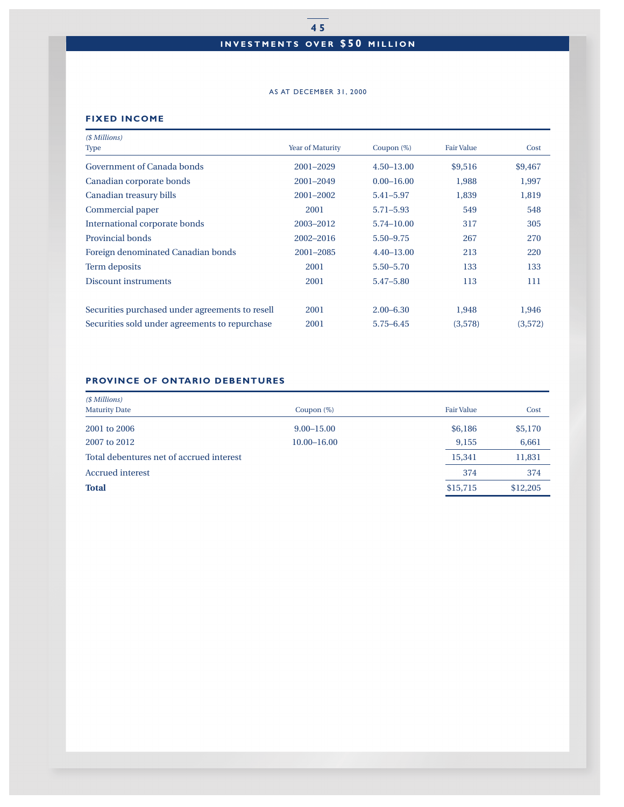# **INVESTMENTS OVER \$50 MILLION**

#### AS AT DECEMBER 31, 2000

## **FIXED INCOME**

| (\$ Millions)                                   |                  |                |                   |         |
|-------------------------------------------------|------------------|----------------|-------------------|---------|
| Type                                            | Year of Maturity | Coupon $(\%)$  | <b>Fair Value</b> | Cost    |
| Government of Canada bonds                      | 2001-2029        | $4.50 - 13.00$ | \$9,516           | \$9,467 |
| Canadian corporate bonds                        | 2001-2049        | $0.00 - 16.00$ | 1,988             | 1,997   |
| Canadian treasury bills                         | 2001-2002        | 5.41-5.97      | 1,839             | 1,819   |
| Commercial paper                                | 2001             | $5.71 - 5.93$  | 549               | 548     |
| International corporate bonds                   | 2003-2012        | 5.74-10.00     | 317               | 305     |
| Provincial bonds                                | 2002-2016        | $5.50 - 9.75$  | 267               | 270     |
| Foreign denominated Canadian bonds              | 2001-2085        | $4.40 - 13.00$ | 213               | 220     |
| Term deposits                                   | 2001             | $5.50 - 5.70$  | 133               | 133     |
| <b>Discount instruments</b>                     | 2001             | 5.47-5.80      | 113               | 111     |
|                                                 |                  |                |                   |         |
| Securities purchased under agreements to resell | 2001             | $2.00 - 6.30$  | 1,948             | 1,946   |
| Securities sold under agreements to repurchase  | 2001             | $5.75 - 6.45$  | (3,578)           | (3,572) |

## **PROVINCE OF ONTARIO DEBENTURES**

| (\$ Millions)                            |                 |                   |          |
|------------------------------------------|-----------------|-------------------|----------|
| <b>Maturity Date</b><br>Coupon $(\%)$    |                 | <b>Fair Value</b> | Cost     |
| 2001 to 2006                             | $9.00 - 15.00$  | \$6,186           | \$5,170  |
| 2007 to 2012                             | $10.00 - 16.00$ | 9.155             | 6,661    |
| Total debentures net of accrued interest |                 | 15,341            | 11,831   |
| <b>Accrued</b> interest                  |                 | 374               | 374      |
| <b>Total</b>                             |                 | \$15,715          | \$12,205 |
|                                          |                 |                   |          |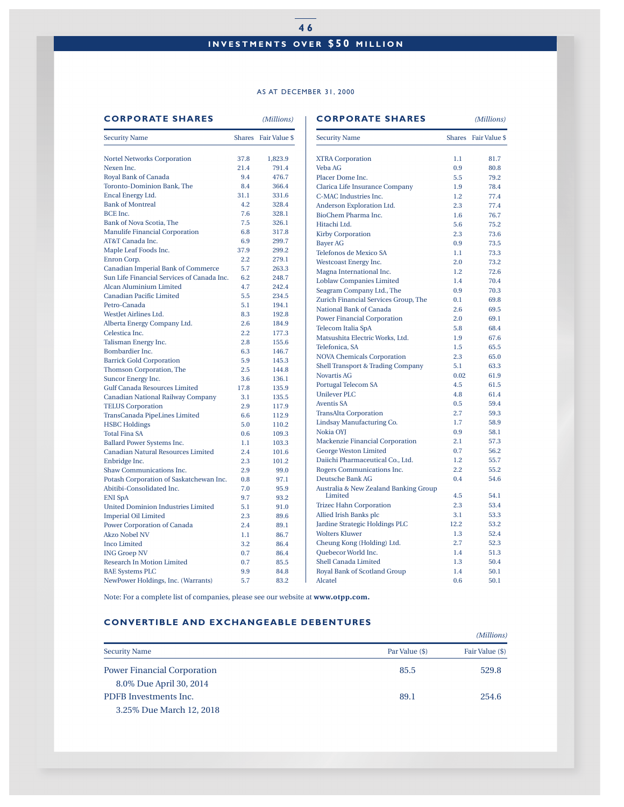# **4 6 INVESTMENTS OVER \$50 MILLION**

#### AS AT DECEMBER 31, 2000

#### **CORPORATE SHARES** *(Millions)* **CORPORATE SHARES** *(Millions)*

|                                                      |            | Shares Fair Value \$ | <b>Security Name</b>                                 |            | Shares Fair Value \$ |  |
|------------------------------------------------------|------------|----------------------|------------------------------------------------------|------------|----------------------|--|
| <b>Nortel Networks Corporation</b>                   | 37.8       | 1,823.9              | <b>XTRA Corporation</b>                              | 1.1        | 81.7                 |  |
| Nexen Inc.                                           | 21.4       | 791.4                | Veba AG                                              | 0.9        | 80.8                 |  |
| Royal Bank of Canada                                 | 9.4        | 476.7                | Placer Dome Inc.                                     | 5.5        | 79.2                 |  |
| Toronto-Dominion Bank, The                           | 8.4        | 366.4                | Clarica Life Insurance Company                       | 1.9        | 78.4                 |  |
| Encal Energy Ltd.                                    | 31.1       | 331.6                | C-MAC Industries Inc.                                | 1.2        | 77.4                 |  |
| <b>Bank of Montreal</b>                              | 4.2        | 328.4                | Anderson Exploration Ltd.                            | 2.3        | 77.4                 |  |
| BCE Inc.                                             | 7.6        | 328.1                | BioChem Pharma Inc.                                  | 1.6        | 76.7                 |  |
| Bank of Nova Scotia, The                             | 7.5        | 326.1                | Hitachi Ltd.                                         | 5.6        | 75.2                 |  |
| <b>Manulife Financial Corporation</b>                | 6.8        | 317.8                | <b>Kirby Corporation</b>                             | 2.3        | 73.6                 |  |
| AT&T Canada Inc.                                     | 6.9        | 299.7                | <b>Bayer AG</b>                                      | 0.9        | 73.5                 |  |
| Maple Leaf Foods Inc.                                | 37.9       | 299.2                | Telefonos de Mexico SA                               | 1.1        | 73.3                 |  |
| Enron Corp.                                          | 2.2        | 279.1                | Westcoast Energy Inc.                                | 2.0        | 73.2                 |  |
| Canadian Imperial Bank of Commerce                   | 5.7        | 263.3                | Magna International Inc.                             | 1.2        | 72.6                 |  |
| Sun Life Financial Services of Canada Inc.           | 6.2        | 248.7                |                                                      |            |                      |  |
| Alcan Aluminium Limited                              | 4.7        | 242.4                | <b>Loblaw Companies Limited</b>                      | 1.4        | 70.4                 |  |
| <b>Canadian Pacific Limited</b>                      | 5.5        | 234.5                | Seagram Company Ltd., The                            | 0.9        | 70.3                 |  |
| Petro-Canada                                         | 5.1        | 194.1                | Zurich Financial Services Group, The                 | 0.1        | 69.8                 |  |
| WestJet Airlines Ltd.                                | 8.3        | 192.8                | National Bank of Canada                              | 2.6        | 69.5                 |  |
| Alberta Energy Company Ltd.                          | 2.6        | 184.9                | <b>Power Financial Corporation</b>                   | 2.0        | 69.1                 |  |
| Celestica Inc.                                       | $2.2\,$    | 177.3                | Telecom Italia SpA                                   | 5.8        | 68.4                 |  |
| Talisman Energy Inc.                                 | 2.8        | 155.6                | Matsushita Electric Works, Ltd.                      | 1.9        | 67.6                 |  |
| Bombardier Inc.                                      | 6.3        | 146.7                | Telefonica, SA                                       | 1.5        | 65.5                 |  |
| <b>Barrick Gold Corporation</b>                      | 5.9        | 145.3                | <b>NOVA Chemicals Corporation</b>                    | 2.3        | 65.0                 |  |
| Thomson Corporation, The                             | 2.5        | 144.8                | Shell Transport & Trading Company                    | 5.1        | 63.3                 |  |
| Suncor Energy Inc.                                   | 3.6        | 136.1                | <b>Novartis AG</b>                                   | 0.02       | 61.9                 |  |
| <b>Gulf Canada Resources Limited</b>                 | 17.8       | 135.9                | Portugal Telecom SA                                  | 4.5        | 61.5                 |  |
| Canadian National Railway Company                    | 3.1        | 135.5                | <b>Unilever PLC</b>                                  | 4.8        | 61.4                 |  |
| <b>TELUS Corporation</b>                             | 2.9        | 117.9                | <b>Aventis SA</b>                                    | 0.5        | 59.4                 |  |
| TransCanada PipeLines Limited                        | 6.6        | 112.9                | <b>TransAlta Corporation</b>                         | 2.7        | 59.3                 |  |
| <b>HSBC</b> Holdings                                 | 5.0        | 110.2                | Lindsay Manufacturing Co.                            | 1.7        | 58.9                 |  |
| <b>Total Fina SA</b>                                 | 0.6        | 109.3                | Nokia OYJ                                            | 0.9        | 58.1                 |  |
| Ballard Power Systems Inc.                           | 1.1        | 103.3                | Mackenzie Financial Corporation                      | 2.1        | 57.3                 |  |
| Canadian Natural Resources Limited                   | 2.4        | 101.6                | <b>George Weston Limited</b>                         | 0.7        | 56.2                 |  |
| Enbridge Inc.                                        | 2.3        | 101.2                | Daiichi Pharmaceutical Co., Ltd.                     | 1.2        | 55.7                 |  |
| Shaw Communications Inc.                             | 2.9        | 99.0                 | Rogers Communications Inc.                           | 2.2        | 55.2                 |  |
| Potash Corporation of Saskatchewan Inc.              | 0.8        | 97.1                 | Deutsche Bank AG                                     | 0.4        | 54.6                 |  |
| Abitibi-Consolidated Inc.                            | 7.0        | 95.9                 | Australia & New Zealand Banking Group                |            |                      |  |
| <b>ENI SpA</b>                                       | 9.7        | 93.2                 | Limited                                              | 4.5        | 54.1                 |  |
| <b>United Dominion Industries Limited</b>            | 5.1        | 91.0                 | <b>Trizec Hahn Corporation</b>                       | 2.3        | 53.4                 |  |
| <b>Imperial Oil Limited</b>                          | 2.3        | 89.6                 | Allied Irish Banks plc                               | 3.1        | 53.3                 |  |
| <b>Power Corporation of Canada</b>                   | 2.4        | 89.1                 | Jardine Strategic Holdings PLC                       | 12.2       | 53.2                 |  |
| <b>Akzo Nobel NV</b>                                 | 1.1        | 86.7                 | <b>Wolters Kluwer</b>                                | 1.3        | 52.4                 |  |
| Inco Limited                                         | 3.2        | 86.4                 | Cheung Kong (Holding) Ltd.                           | 2.7        | 52.3                 |  |
| <b>ING Groep NV</b>                                  | 0.7        | 86.4                 | <b>Ouebecor World Inc.</b>                           | 1.4        | 51.3                 |  |
|                                                      |            |                      |                                                      |            |                      |  |
|                                                      |            |                      |                                                      |            |                      |  |
| Research In Motion Limited<br><b>BAE Systems PLC</b> | 0.7<br>9.9 | 85.5<br>84.8         | Shell Canada Limited<br>Royal Bank of Scotland Group | 1.3<br>1.4 | 50.4<br>50.1         |  |

Note: For a complete list of companies, please see our website at **www.otpp.com.**

## **CONVERTIBLE AND EXCHANGEABLE DEBENTURES**

|                                    | (Millions)     |                 |  |  |  |
|------------------------------------|----------------|-----------------|--|--|--|
| <b>Security Name</b>               | Par Value (\$) | Fair Value (\$) |  |  |  |
| <b>Power Financial Corporation</b> | 85.5           | 529.8           |  |  |  |
| 8.0% Due April 30, 2014            |                |                 |  |  |  |
| PDFB Investments Inc.              | 89.1           | 254.6           |  |  |  |
| 3.25% Due March 12, 2018           |                |                 |  |  |  |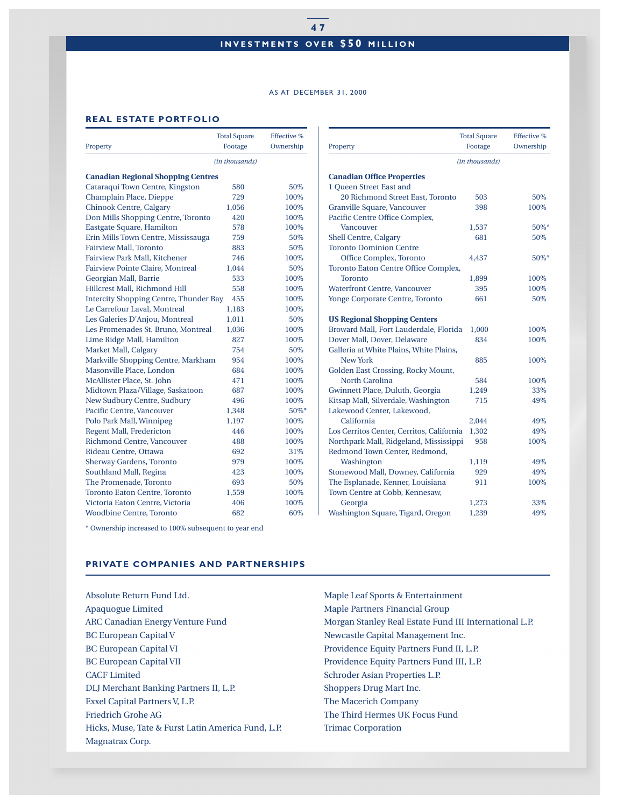# **INVESTMENTS OVER \$50 MILLION**

#### AS AT DECEMBER 31, 2000

## **REAL ESTATE PORTFOLIO**

|                                               | <b>Total Square</b> | <b>Effective %</b> |
|-----------------------------------------------|---------------------|--------------------|
| Property                                      | Footage             | Ownership          |
|                                               | (in thousands)      |                    |
| <b>Canadian Regional Shopping Centres</b>     |                     |                    |
| Cataraqui Town Centre, Kingston               | 580                 | 50%                |
| Champlain Place, Dieppe                       | 729                 | 100%               |
| Chinook Centre, Calgary                       | 1,056               | 100%               |
| Don Mills Shopping Centre, Toronto            | 420                 | 100%               |
| Eastgate Square, Hamilton                     | 578                 | 100%               |
| Erin Mills Town Centre, Mississauga           | 759                 | 50%                |
| <b>Fairview Mall, Toronto</b>                 | 883                 | 50%                |
| Fairview Park Mall, Kitchener                 | 746                 | 100%               |
| Fairview Pointe Claire, Montreal              | 1,044               | 50%                |
| Georgian Mall, Barrie                         | 533                 | 100%               |
| Hillcrest Mall, Richmond Hill                 | 558                 | 100%               |
| <b>Intercity Shopping Centre, Thunder Bay</b> | 455                 | 100%               |
| Le Carrefour Laval, Montreal                  | 1,183               | 100%               |
| Les Galeries D'Anjou, Montreal                | 1,011               | 50%                |
| Les Promenades St. Bruno, Montreal            | 1,036               | 100%               |
| Lime Ridge Mall, Hamilton                     | 827                 | 100%               |
| Market Mall, Calgary                          | 754                 | 50%                |
| Markville Shopping Centre, Markham            | 954                 | 100%               |
| Masonville Place, London                      | 684                 | 100\%              |
| McAllister Place, St. John                    | 471                 | 100%               |
| Midtown Plaza/Village, Saskatoon              | 687                 | 100%               |
| New Sudbury Centre, Sudbury                   | 496                 | 100%               |
| Pacific Centre, Vancouver                     | 1,348               | 50%*               |
| Polo Park Mall, Winnipeg                      | 1,197               | 100%               |
| Regent Mall, Fredericton                      | 446                 | 100%               |
| Richmond Centre, Vancouver                    | 488                 | 100%               |
| Rideau Centre, Ottawa                         | 692                 | 31%                |
| <b>Sherway Gardens, Toronto</b>               | 979                 | 100\%              |
| Southland Mall, Regina                        | 423                 | 100%               |
| The Promenade, Toronto                        | 693                 | 50%                |
| <b>Toronto Eaton Centre, Toronto</b>          | 1,559               | 100%               |
| Victoria Eaton Centre, Victoria               | 406                 | 100%               |
| <b>Woodbine Centre, Toronto</b>               | 682                 | 60%                |

\* Ownership increased to 100% subsequent to year end

## **PRIVATE COMPANIES AND PARTNERSHIPS**

Absolute Return Fund Ltd. Apaquogue Limited ARC Canadian Energy Venture Fund BC European Capital V BC European Capital VI BC European Capital VII CACF Limited DLJ Merchant Banking Partners II, L.P. Exxel Capital Partners V, L.P. Friedrich Grohe AG Hicks, Muse, Tate & Furst Latin America Fund, L.P. Magnatrax Corp.

|                                           | <b>Total Square</b> | Effective % |
|-------------------------------------------|---------------------|-------------|
| Property                                  | Footage             | Ownership   |
|                                           | (in thousands)      |             |
| <b>Canadian Office Properties</b>         |                     |             |
| 1 Queen Street East and                   |                     |             |
| 20 Richmond Street East, Toronto          | 503                 | 50%         |
| Granville Square, Vancouver               | 398                 | 100%        |
| Pacific Centre Office Complex,            |                     |             |
| <b>Vancouver</b>                          | 1,537               | 50%*        |
| Shell Centre, Calgary                     | 681                 | 50%         |
| <b>Toronto Dominion Centre</b>            |                     |             |
| Office Complex, Toronto                   | 4,437               | 50%*        |
| Toronto Eaton Centre Office Complex,      |                     |             |
| <b>Toronto</b>                            | 1,899               | 100%        |
| <b>Waterfront Centre, Vancouver</b>       | 395                 | 100%        |
| Yonge Corporate Centre, Toronto           | 661                 | 50%         |
| <b>US Regional Shopping Centers</b>       |                     |             |
| Broward Mall, Fort Lauderdale, Florida    | 1,000               | 100%        |
| Dover Mall, Dover, Delaware               | 834                 | 100%        |
| Galleria at White Plains, White Plains,   |                     |             |
| <b>New York</b>                           | 885                 | 100%        |
| Golden East Crossing, Rocky Mount,        |                     |             |
| <b>North Carolina</b>                     | 584                 | 100%        |
| Gwinnett Place, Duluth, Georgia           | 1,249               | 33%         |
| Kitsap Mall, Silverdale, Washington       | 715                 | 49%         |
| Lakewood Center, Lakewood,                |                     |             |
| California                                | 2,044               | 49%         |
| Los Cerritos Center, Cerritos, California | 1,302               | 49%         |
| Northpark Mall, Ridgeland, Mississippi    | 958                 | 100%        |
| Redmond Town Center, Redmond,             |                     |             |
| Washington                                | 1,119               | 49%         |
| Stonewood Mall, Downey, California        | 929                 | 49%         |
| The Esplanade, Kenner, Louisiana          | 911                 | 100%        |
| Town Centre at Cobb, Kennesaw,            |                     |             |
| Georgia                                   | 1,273               | 33%         |
| Washington Square, Tigard, Oregon         | 1,239               | 49%         |

Maple Leaf Sports & Entertainment Maple Partners Financial Group Morgan Stanley Real Estate Fund III International L.P. Newcastle Capital Management Inc. Providence Equity Partners Fund II, L.P. Providence Equity Partners Fund III, L.P. Schroder Asian Properties L.P. Shoppers Drug Mart Inc. The Macerich Company The Third Hermes UK Focus Fund Trimac Corporation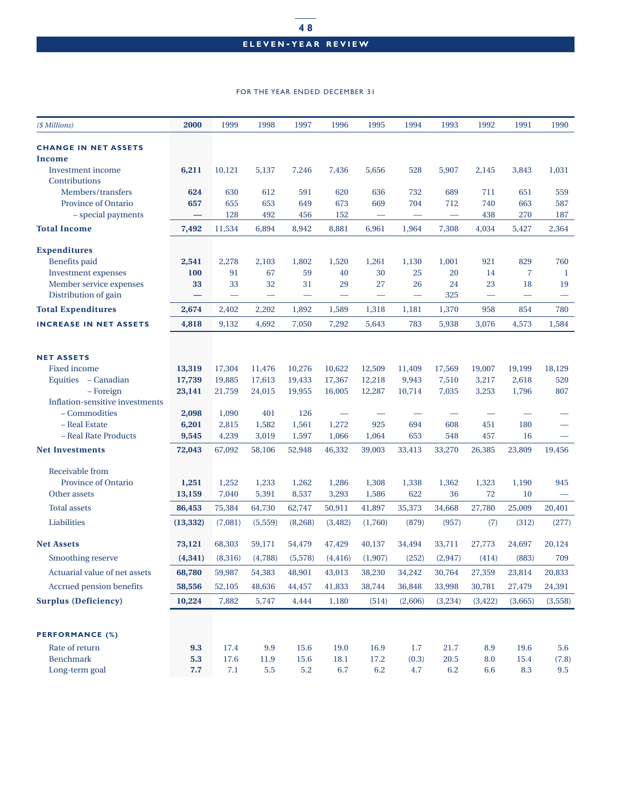# **ELEVEN - YEAR REVIEW**

#### FOR THE YEAR ENDED DECEMBER 31

| (\$ Millions)                   | 2000                     | 1999    | 1998    | 1997                     | 1996     | 1995                     | 1994                     | 1993                     | 1992          | 1991           | 1990    |
|---------------------------------|--------------------------|---------|---------|--------------------------|----------|--------------------------|--------------------------|--------------------------|---------------|----------------|---------|
| <b>CHANGE IN NET ASSETS</b>     |                          |         |         |                          |          |                          |                          |                          |               |                |         |
| Income                          |                          |         |         |                          |          |                          |                          |                          |               |                |         |
| <b>Investment</b> income        | 6,211                    | 10,121  | 5,137   | 7,246                    | 7,436    | 5,656                    | 528                      | 5,907                    | 2,145         | 3,843          | 1,031   |
| Contributions                   |                          |         |         |                          |          |                          |                          |                          |               |                |         |
| Members/transfers               | 624                      | 630     | 612     | 591                      | 620      | 636                      | 732                      | 689                      | 711           | 651            | 559     |
| Province of Ontario             | 657                      | 655     | 653     | 649                      | 673      | 669                      | 704                      | 712                      | 740           | 663            | 587     |
| - special payments              | $\overline{\phantom{0}}$ | 128     | 492     | 456                      | 152      | $\overline{\phantom{m}}$ | $\overline{\phantom{m}}$ | $\overline{\phantom{m}}$ | 438           | 270            | 187     |
| <b>Total Income</b>             | 7,492                    | 11,534  | 6,894   | 8,942                    | 8,881    | 6,961                    | 1,964                    | 7,308                    | 4,034         | 5,427          | 2,364   |
| <b>Expenditures</b>             |                          |         |         |                          |          |                          |                          |                          |               |                |         |
| <b>Benefits</b> paid            | 2,541                    | 2,278   | 2,103   | 1,802                    | 1,520    | 1,261                    | 1,130                    | 1,001                    | 921           | 829            | 760     |
| Investment expenses             | 100                      | 91      | 67      | 59                       | 40       | 30                       | 25                       | 20                       | 14            | $\overline{7}$ | -1      |
| Member service expenses         | 33                       | 33      | 32      | 31                       | 29       | 27                       | 26                       | 24                       | 23            | 18             | 19      |
| Distribution of gain            |                          |         |         | $\overline{\phantom{0}}$ |          |                          |                          | 325                      |               |                |         |
| <b>Total Expenditures</b>       | 2,674                    | 2,402   | 2,202   | 1,892                    | 1,589    | 1,318                    | 1,181                    | 1,370                    | 958           | 854            | 780     |
| <b>INCREASE IN NET ASSETS</b>   | 4,818                    | 9,132   | 4,692   | 7,050                    | 7,292    | 5,643                    | 783                      | 5,938                    | 3,076         | 4,573          | 1,584   |
|                                 |                          |         |         |                          |          |                          |                          |                          |               |                |         |
| <b>NET ASSETS</b>               |                          |         |         |                          |          |                          |                          |                          |               |                |         |
| <b>Fixed income</b>             | 13,319                   | 17,304  | 11,476  | 10,276                   | 10,622   | 12,509                   | 11,409                   | 17,569                   | 19,007        | 19,199         | 18,129  |
| Equities - Canadian             | 17,739                   | 19,885  | 17,613  | 19,433                   | 17,367   | 12,218                   | 9,943                    | 7,510                    | 3,217         | 2,618          | 520     |
| - Foreign                       | 23,141                   | 21,759  | 24,015  | 19,955                   | 16,005   | 12,287                   | 10,714                   | 7,035                    | 3,253         | 1,796          | 807     |
| Inflation-sensitive investments |                          |         |         |                          |          |                          |                          |                          |               |                |         |
| - Commodities                   | 2,098                    | 1,090   | 401     | 126                      |          |                          |                          |                          |               |                |         |
| - Real Estate                   | 6,201                    | 2,815   | 1,582   | 1,561                    | 1,272    | 925                      | 694                      | 608                      | 451           | 180            |         |
| - Real Rate Products            | 9,545                    | 4,239   | 3,019   | 1,597                    | 1,066    | 1,064                    | 653                      | 548                      | 457           | 16             |         |
| <b>Net Investments</b>          | 72,043                   | 67,092  | 58,106  | 52,948                   | 46,332   | 39,003                   | 33,413                   | 33,270                   | 26,385        | 23,809         | 19,456  |
| Receivable from                 |                          |         |         |                          |          |                          |                          |                          |               |                |         |
| Province of Ontario             | 1,251                    | 1,252   | 1,233   | 1,262                    | 1,286    | 1,308                    | 1,338                    | 1,362                    | 1,323         | 1,190          | 945     |
| Other assets                    | 13,159                   | 7,040   | 5,391   | 8,537                    | 3,293    | 1,586                    | 622                      | 36                       | 72            | 10             |         |
| <b>Total assets</b>             | 86,453                   | 75,384  | 64,730  | 62,747                   | 50,911   | 41,897                   | 35,373                   | 34,668                   | 27,780        | 25,009         | 20,401  |
| Liabilities                     | (13, 332)                | (7,081) | (5,559) | (8,268)                  | (3, 482) | (1,760)                  | (879)                    | (957)                    | (7)           | (312)          | (277)   |
| <b>Net Assets</b>               | 73,121                   | 68,303  | 59,171  | 54,479                   | 47,429   | 40,137                   | 34,494                   | 33,711                   | 27,773        | 24,697         | 20,124  |
| Smoothing reserve               | (4, 341)                 | (8,316) | (4,788) | (5,578)                  | (4, 416) | (1, 907)                 | (252)                    | (2, 947)                 | (414)         | (883)          | 709     |
| Actuarial value of net assets   | 68,780                   | 59,987  | 54,383  | 48,901                   | 43,013   |                          | 38,230 34,242            |                          | 30,764 27,359 | 23,814         | 20,833  |
| Accrued pension benefits        | 58,556                   | 52,105  | 48,636  | 44,457                   | 41,833   | 38,744                   | 36,848                   | 33,998                   | 30,781        | 27,479         | 24,391  |
| <b>Surplus (Deficiency)</b>     | 10,224                   | 7,882   | 5,747   | 4,444                    | 1,180    | (514)                    | (2,606)                  | (3,234)                  | (3, 422)      | (3,665)        | (3,558) |
|                                 |                          |         |         |                          |          |                          |                          |                          |               |                |         |
| <b>PERFORMANCE (%)</b>          |                          |         |         |                          |          |                          |                          |                          |               |                |         |
| Rate of return                  | 9.3                      | 17.4    | 9.9     | 15.6                     | 19.0     | 16.9                     | 1.7                      | 21.7                     | 8.9           | 19.6           | 5.6     |
| <b>Benchmark</b>                | 5.3                      | 17.6    | 11.9    | 15.6                     | 18.1     | 17.2                     | (0.3)                    | 20.5                     | 8.0           | 15.4           | (7.8)   |
| Long-term goal                  | 7.7                      | $7.1\,$ | $5.5\,$ | 5.2                      | 6.7      | 6.2                      | 4.7                      | 6.2                      | 6.6           | 8.3            | 9.5     |